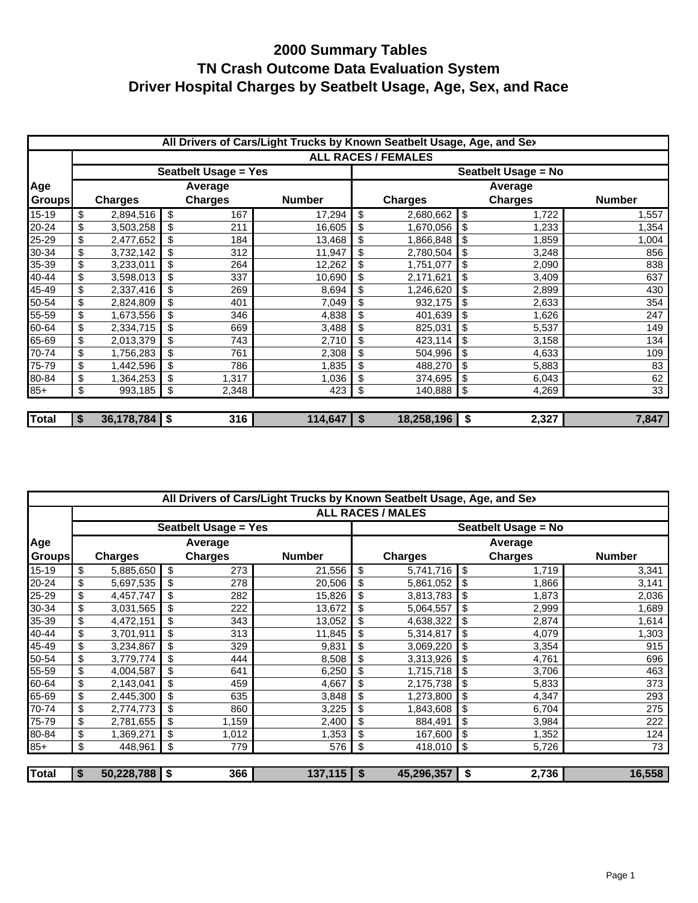|               | All Drivers of Cars/Light Trucks by Known Seatbelt Usage, Age, and Sex |                 |    |                             |                |                     |                            |    |                |               |  |  |
|---------------|------------------------------------------------------------------------|-----------------|----|-----------------------------|----------------|---------------------|----------------------------|----|----------------|---------------|--|--|
|               |                                                                        |                 |    |                             |                |                     | <b>ALL RACES / FEMALES</b> |    |                |               |  |  |
|               |                                                                        |                 |    | <b>Seatbelt Usage = Yes</b> |                | Seatbelt Usage = No |                            |    |                |               |  |  |
| Age           |                                                                        |                 |    | Average                     |                |                     |                            |    | Average        |               |  |  |
| <b>Groups</b> |                                                                        | <b>Charges</b>  |    | <b>Charges</b>              | <b>Number</b>  |                     | <b>Charges</b>             |    | <b>Charges</b> | <b>Number</b> |  |  |
| $15-19$       | \$                                                                     | 2,894,516       | \$ | 167                         | 17,294         | \$                  | 2,680,662                  | \$ | 1,722          | 1,557         |  |  |
| 20-24         | \$                                                                     | 3,503,258       | \$ | 211                         | 16,605         | \$                  | 1,670,056                  | \$ | 1,233          | 1,354         |  |  |
| 25-29         | \$                                                                     | 2,477,652       | \$ | 184                         | 13,468         | \$                  | 1,866,848                  | \$ | 1,859          | 1,004         |  |  |
| 30-34         | \$                                                                     | 3,732,142       | \$ | 312                         | 11,947         | \$                  | 2,780,504                  | \$ | 3,248          | 856           |  |  |
| 35-39         | \$                                                                     | 3,233,011       | \$ | 264                         | 12,262         | \$                  | 1,751,077                  | \$ | 2,090          | 838           |  |  |
| 40-44         | \$                                                                     | 3,598,013       | \$ | 337                         | 10,690         | \$                  | 2,171,621                  | \$ | 3,409          | 637           |  |  |
| 45-49         | \$                                                                     | 2,337,416       | \$ | 269                         | 8,694          | \$                  | 1,246,620                  | \$ | 2,899          | 430           |  |  |
| 50-54         | \$                                                                     | 2,824,809       | \$ | 401                         | 7,049          | \$                  | 932,175                    | \$ | 2,633          | 354           |  |  |
| 55-59         | \$                                                                     | 1,673,556       | \$ | 346                         | 4,838          | \$                  | 401,639                    | \$ | 1,626          | 247           |  |  |
| 60-64         | \$                                                                     | 2,334,715       | \$ | 669                         | 3,488          | \$                  | 825,031                    | \$ | 5,537          | 149           |  |  |
| 65-69         | \$                                                                     | 2,013,379       | \$ | 743                         | 2,710          | \$                  | 423,114                    | \$ | 3,158          | 134           |  |  |
| 70-74         | \$                                                                     | 1,756,283       | \$ | 761                         | 2,308          | \$                  | 504,996                    | \$ | 4,633          | 109           |  |  |
| 75-79         | \$                                                                     | 1,442,596       | \$ | 786                         | 1,835          | \$                  | 488,270                    | \$ | 5,883          | 83            |  |  |
| 80-84         | \$                                                                     | 1,364,253       | \$ | 1,317                       | 1,036          | \$                  | 374,695                    | \$ | 6,043          | 62            |  |  |
| $85+$         | \$                                                                     | 993,185         | \$ | 2,348                       | 423            | \$                  | 140,888                    | \$ | 4,269          | 33            |  |  |
|               |                                                                        |                 |    |                             |                |                     |                            |    |                |               |  |  |
| <b>Total</b>  | \$                                                                     | $36,178,784$ \$ |    | 316                         | $114,647$   \$ |                     | 18,258,196                 | \$ | 2,327          | 7,847         |  |  |

|              | All Drivers of Cars/Light Trucks by Known Seatbelt Usage, Age, and Sex |                 |      |                             |               |    |                          |    |                |               |  |
|--------------|------------------------------------------------------------------------|-----------------|------|-----------------------------|---------------|----|--------------------------|----|----------------|---------------|--|
|              |                                                                        |                 |      |                             |               |    | <b>ALL RACES / MALES</b> |    |                |               |  |
|              |                                                                        |                 |      | <b>Seatbelt Usage = Yes</b> |               |    | Seatbelt Usage = No      |    |                |               |  |
| Age          |                                                                        |                 |      | Average                     |               |    |                          |    | Average        |               |  |
| Groups       |                                                                        | <b>Charges</b>  |      | <b>Charges</b>              | <b>Number</b> |    | <b>Charges</b>           |    | <b>Charges</b> | <b>Number</b> |  |
| 15-19        | \$                                                                     | 5,885,650       | - \$ | 273                         | 21,556        | \$ | 5,741,716                | \$ | 1,719          | 3,341         |  |
| 20-24        | \$                                                                     | 5,697,535       | \$   | 278                         | 20,506        | \$ | 5,861,052                | \$ | 1,866          | 3,141         |  |
| 25-29        | \$                                                                     | 4,457,747       | \$   | 282                         | 15,826        |    | 3,813,783                | \$ | 1,873          | 2,036         |  |
| 30-34        | \$                                                                     | 3,031,565       | -\$  | 222                         | 13,672        | \$ | 5,064,557                | \$ | 2,999          | 1,689         |  |
| 35-39        | \$                                                                     | 4,472,151       | \$   | 343                         | 13,052        |    | 4,638,322                |    | 2,874          | 1,614         |  |
| 40-44        | \$                                                                     | 3,701,911       |      | 313                         | 11,845        |    | 5,314,817                | \$ | 4,079          | 1,303         |  |
| 45-49        | \$                                                                     | 3,234,867       | \$   | 329                         | 9,831         | \$ | 3,069,220                | \$ | 3,354          | 915           |  |
| 50-54        | \$                                                                     | 3,779,774       |      | 444                         | 8,508         | \$ | 3,313,926                | \$ | 4,761          | 696           |  |
| 55-59        | \$                                                                     | 4,004,587       | \$   | 641                         | 6,250         | \$ | 1,715,718                | \$ | 3,706          | 463           |  |
| 60-64        | \$                                                                     | 2,143,041       | \$   | 459                         | 4,667         | \$ | 2,175,738                | \$ | 5,833          | 373           |  |
| 65-69        | \$                                                                     | 2,445,300       | \$   | 635                         | 3,848         | \$ | 1,273,800                | \$ | 4,347          | 293           |  |
| 70-74        | \$                                                                     | 2,774,773       | \$   | 860                         | 3,225         | \$ | 1,843,608                | \$ | 6,704          | 275           |  |
| 75-79        | \$                                                                     | 2,781,655       |      | 1,159                       | 2,400         |    | 884,491                  | \$ | 3,984          | 222           |  |
| 80-84        | \$                                                                     | 1,369,271       | \$   | 1,012                       | 1,353         |    | 167,600                  | \$ | 1,352          | 124           |  |
| $85+$        | \$                                                                     | 448,961         | \$   | 779                         | 576           | \$ | 418,010                  | \$ | 5,726          | 73            |  |
| <b>Total</b> | S                                                                      | $50,228,788$ \$ |      | 366                         | $137,115$ \$  |    | 45,296,357               | \$ | 2,736          | 16,558        |  |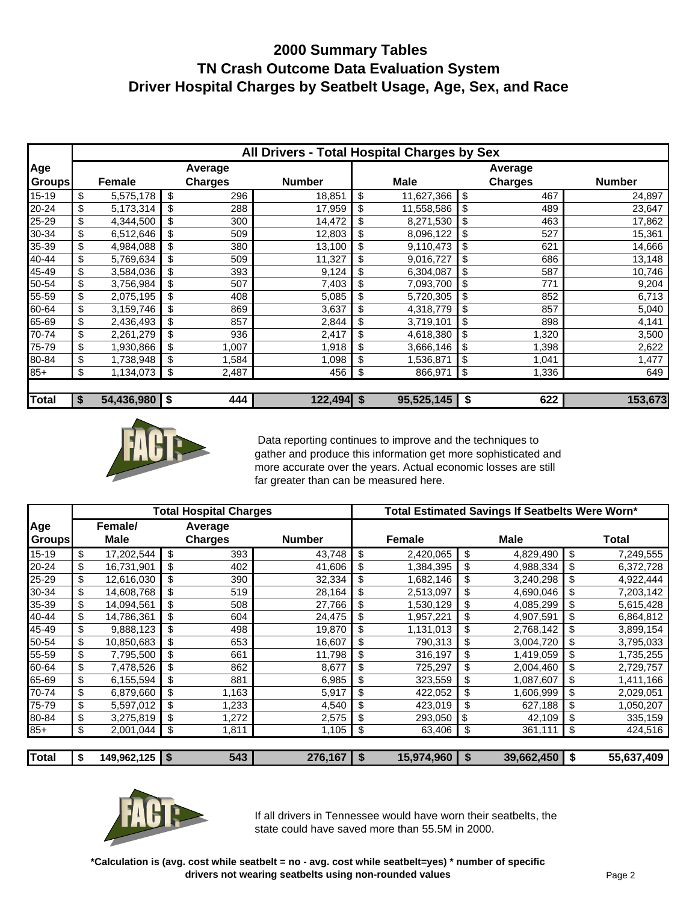|               |    |               |                | All Drivers - Total Hospital Charges by Sex |         |             |    |                |               |  |
|---------------|----|---------------|----------------|---------------------------------------------|---------|-------------|----|----------------|---------------|--|
| Age           |    |               | Average        |                                             | Average |             |    |                |               |  |
| <b>Groups</b> |    | Female        | <b>Charges</b> | <b>Number</b>                               |         | <b>Male</b> |    | <b>Charges</b> | <b>Number</b> |  |
| 15-19         | \$ | 5,575,178     | \$<br>296      | 18,851                                      | \$      | 11,627,366  | \$ | 467            | 24,897        |  |
| 20-24         | \$ | 5,173,314     | \$<br>288      | 17,959                                      | \$      | 11,558,586  | \$ | 489            | 23,647        |  |
| 25-29         | \$ | 4,344,500     | \$<br>300      | 14,472                                      | \$      | 8,271,530   | \$ | 463            | 17,862        |  |
| 30-34         | \$ | 6,512,646     | \$<br>509      | 12,803                                      | \$      | 8,096,122   | \$ | 527            | 15,361        |  |
| 35-39         | \$ | 4,984,088     | \$<br>380      | 13,100                                      | \$      | 9,110,473   | \$ | 621            | 14,666        |  |
| 40-44         | \$ | 5,769,634     | \$<br>509      | 11,327                                      | \$      | 9,016,727   | \$ | 686            | 13,148        |  |
| 45-49         | \$ | 3,584,036     | \$<br>393      | 9,124                                       | \$      | 6,304,087   | \$ | 587            | 10,746        |  |
| 50-54         | \$ | 3,756,984     | \$<br>507      | 7,403                                       | \$      | 7,093,700   | \$ | 771            | 9,204         |  |
| 55-59         | \$ | 2,075,195     | \$<br>408      | 5,085                                       | \$      | 5,720,305   | \$ | 852            | 6,713         |  |
| 60-64         | \$ | 3,159,746     | \$<br>869      | 3,637                                       | \$      | 4,318,779   | \$ | 857            | 5,040         |  |
| 65-69         | \$ | 2,436,493     | \$<br>857      | 2,844                                       | \$      | 3,719,101   | \$ | 898            | 4,141         |  |
| 70-74         | \$ | 2,261,279     | \$<br>936      | 2,417                                       |         | 4,618,380   | \$ | 1,320          | 3,500         |  |
| 75-79         | \$ | 1,930,866     | \$<br>1,007    | 1,918                                       | \$      | 3,666,146   | \$ | 1,398          | 2,622         |  |
| 80-84         | \$ | 1,738,948     | \$<br>1,584    | 1,098                                       | \$      | 1,536,871   | \$ | 1,041          | 1,477         |  |
| $85+$         | \$ | 1,134,073     | \$<br>2,487    | 456                                         | \$      | 866,971     | \$ | 1,336          | 649           |  |
| <b>Total</b>  | S  | 54,436,980 \$ | 444            | $122,494$ \$                                |         | 95,525,145  | \$ | 622            | 153,673       |  |



 Data reporting continues to improve and the techniques to gather and produce this information get more sophisticated and more accurate over the years. Actual economic losses are still far greater than can be measured here.

|              |                      | <b>Total Hospital Charges</b> |               |                 | Total Estimated Savings If Seatbelts Were Worn* |                  |
|--------------|----------------------|-------------------------------|---------------|-----------------|-------------------------------------------------|------------------|
| Age          | Female/              | Average                       |               |                 |                                                 |                  |
| Groups       | <b>Male</b>          | <b>Charges</b>                | <b>Number</b> | Female          | <b>Male</b>                                     | <b>Total</b>     |
| $15 - 19$    | \$<br>17,202,544     | \$<br>393                     | 43,748        | \$<br>2,420,065 | \$<br>4,829,490                                 | \$<br>7,249,555  |
| 20-24        | \$<br>16,731,901     | \$<br>402                     | 41,606        | \$<br>1,384,395 | \$<br>4,988,334                                 | \$<br>6,372,728  |
| 25-29        | \$<br>12,616,030     | \$<br>390                     | 32,334        | \$<br>1,682,146 | \$<br>3,240,298                                 | \$<br>4,922,444  |
| 30-34        | \$<br>14,608,768     | \$<br>519                     | 28,164        | \$<br>2,513,097 | \$<br>4,690,046                                 | \$<br>7,203,142  |
| 35-39        | \$<br>14,094,561     | \$<br>508                     | 27,766        | \$<br>1,530,129 | \$<br>4,085,299                                 | \$<br>5,615,428  |
| 40-44        | \$<br>14,786,361     | \$<br>604                     | 24,475        | \$<br>1,957,221 | \$<br>4,907,591                                 | \$<br>6,864,812  |
| 45-49        | \$<br>9,888,123      | \$<br>498                     | 19,870        | \$<br>1,131,013 | \$<br>2,768,142                                 | \$<br>3,899,154  |
| 50-54        | \$<br>10,850,683     | \$<br>653                     | 16,607        | \$<br>790,313   | \$<br>3,004,720                                 | \$<br>3,795,033  |
| 55-59        | \$<br>7,795,500      | \$<br>661                     | 11,798        | \$<br>316,197   | \$<br>1,419,059                                 | \$<br>1,735,255  |
| 60-64        | \$<br>7,478,526      | \$<br>862                     | 8,677         | \$<br>725,297   | \$<br>2,004,460                                 | \$<br>2,729,757  |
| 65-69        | \$<br>6,155,594      | \$<br>881                     | 6,985         | \$<br>323,559   | \$<br>1,087,607                                 | \$<br>1,411,166  |
| 70-74        | \$<br>6,879,660      | \$<br>1,163                   | 5,917         | \$<br>422,052   | \$<br>1,606,999                                 | \$<br>2,029,051  |
| 75-79        | \$<br>5,597,012      | \$<br>1,233                   | 4,540         | \$<br>423,019   | \$<br>627,188                                   | \$<br>1,050,207  |
| 80-84        | \$<br>3,275,819      | \$<br>1,272                   | 2,575         | \$<br>293,050   | \$<br>42,109                                    | \$<br>335,159    |
| $85+$        | \$<br>2,001,044      | \$<br>1,811                   | 1,105         | \$<br>63,406    | \$<br>361,111                                   | \$<br>424,516    |
|              |                      |                               |               |                 |                                                 |                  |
| <b>Total</b> | \$<br>149,962,125 \$ | 543                           | $276,167$ \$  | 15,974,960      | \$<br>39,662,450                                | \$<br>55,637,409 |



If all drivers in Tennessee would have worn their seatbelts, the state could have saved more than 55.5M in 2000.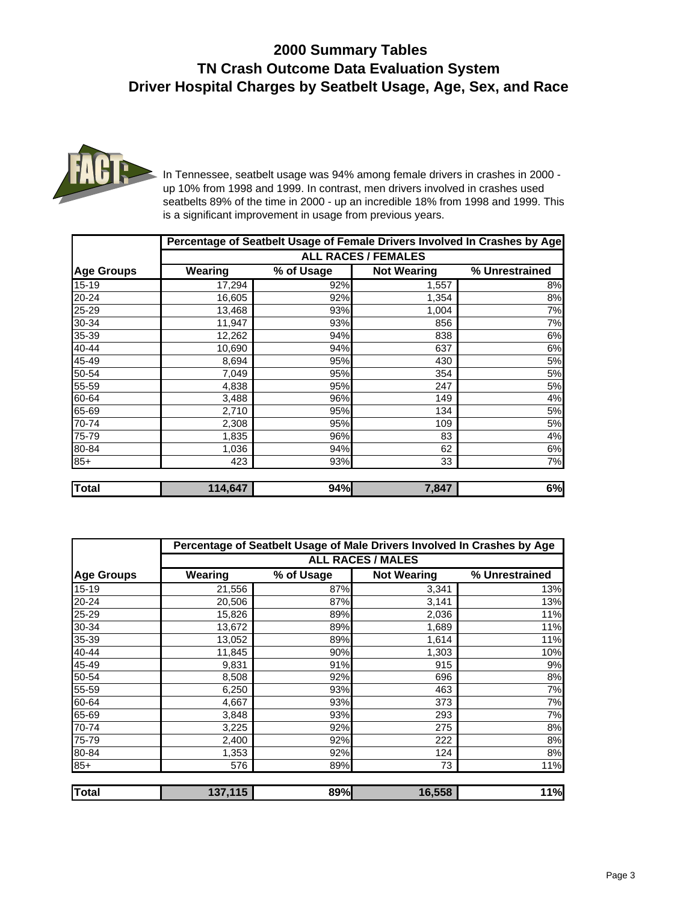

In Tennessee, seatbelt usage was 94% among female drivers in crashes in 2000 up 10% from 1998 and 1999. In contrast, men drivers involved in crashes used seatbelts 89% of the time in 2000 - up an incredible 18% from 1998 and 1999. This is a significant improvement in usage from previous years.

|                            |         |            |                    | Percentage of Seatbelt Usage of Female Drivers Involved In Crashes by Age |  |  |  |  |  |  |
|----------------------------|---------|------------|--------------------|---------------------------------------------------------------------------|--|--|--|--|--|--|
| <b>ALL RACES / FEMALES</b> |         |            |                    |                                                                           |  |  |  |  |  |  |
| <b>Age Groups</b>          | Wearing | % of Usage | <b>Not Wearing</b> | % Unrestrained                                                            |  |  |  |  |  |  |
| 15-19                      | 17,294  | 92%        | 1,557              | 8%                                                                        |  |  |  |  |  |  |
| 20-24                      | 16,605  | 92%        | 1,354              | 8%                                                                        |  |  |  |  |  |  |
| 25-29                      | 13,468  | 93%        | 1,004              | 7%                                                                        |  |  |  |  |  |  |
| 30-34                      | 11,947  | 93%        | 856                | 7%                                                                        |  |  |  |  |  |  |
| 35-39                      | 12,262  | 94%        | 838                | 6%                                                                        |  |  |  |  |  |  |
| 40-44                      | 10,690  | 94%        | 637                | 6%                                                                        |  |  |  |  |  |  |
| 45-49                      | 8,694   | 95%        | 430                | 5%                                                                        |  |  |  |  |  |  |
| 50-54                      | 7,049   | 95%        | 354                | 5%                                                                        |  |  |  |  |  |  |
| 55-59                      | 4,838   | 95%        | 247                | 5%                                                                        |  |  |  |  |  |  |
| 60-64                      | 3,488   | 96%        | 149                | 4%                                                                        |  |  |  |  |  |  |
| 65-69                      | 2,710   | 95%        | 134                | 5%                                                                        |  |  |  |  |  |  |
| 70-74                      | 2,308   | 95%        | 109                | 5%                                                                        |  |  |  |  |  |  |
| 75-79                      | 1,835   | 96%        | 83                 | 4%                                                                        |  |  |  |  |  |  |
| 80-84                      | 1,036   | 94%        | 62                 | 6%                                                                        |  |  |  |  |  |  |
| $85+$                      | 423     | 93%        | 33                 | 7%                                                                        |  |  |  |  |  |  |
|                            |         |            |                    |                                                                           |  |  |  |  |  |  |
| <b>Total</b>               | 114,647 | 94%        | 7,847              | 6%                                                                        |  |  |  |  |  |  |

|                   | Percentage of Seatbelt Usage of Male Drivers Involved In Crashes by Age |                          |                    |                |  |  |  |  |  |  |  |  |  |
|-------------------|-------------------------------------------------------------------------|--------------------------|--------------------|----------------|--|--|--|--|--|--|--|--|--|
|                   |                                                                         | <b>ALL RACES / MALES</b> |                    |                |  |  |  |  |  |  |  |  |  |
| <b>Age Groups</b> | Wearing                                                                 | % of Usage               | <b>Not Wearing</b> | % Unrestrained |  |  |  |  |  |  |  |  |  |
| $15 - 19$         | 21,556                                                                  | 87%                      | 3,341              | 13%            |  |  |  |  |  |  |  |  |  |
| 20-24             | 20,506                                                                  | 87%                      | 3,141              | 13%            |  |  |  |  |  |  |  |  |  |
| 25-29             | 15,826                                                                  | 89%                      | 2,036              | 11%            |  |  |  |  |  |  |  |  |  |
| 30-34             | 13,672                                                                  | 89%                      | 1,689              | 11%            |  |  |  |  |  |  |  |  |  |
| 35-39             | 13,052                                                                  | 89%                      | 1,614              | 11%            |  |  |  |  |  |  |  |  |  |
| 40-44             | 11,845                                                                  | 90%                      | 1,303              | 10%            |  |  |  |  |  |  |  |  |  |
| 45-49             | 9,831                                                                   | 91%                      | 915                | 9%             |  |  |  |  |  |  |  |  |  |
| 50-54             | 8,508                                                                   | 92%                      | 696                | 8%             |  |  |  |  |  |  |  |  |  |
| 55-59             | 6,250                                                                   | 93%                      | 463                | 7%             |  |  |  |  |  |  |  |  |  |
| 60-64             | 4,667                                                                   | 93%                      | 373                | 7%             |  |  |  |  |  |  |  |  |  |
| 65-69             | 3,848                                                                   | 93%                      | 293                | 7%             |  |  |  |  |  |  |  |  |  |
| 70-74             | 3,225                                                                   | 92%                      | 275                | 8%             |  |  |  |  |  |  |  |  |  |
| 75-79             | 2,400                                                                   | 92%                      | 222                | 8%             |  |  |  |  |  |  |  |  |  |
| 80-84             | 1,353                                                                   | 92%                      | 124                | 8%             |  |  |  |  |  |  |  |  |  |
| $85+$             | 576                                                                     | 89%                      | 73                 | 11%            |  |  |  |  |  |  |  |  |  |
|                   |                                                                         |                          |                    |                |  |  |  |  |  |  |  |  |  |
| Total             | 137,115                                                                 | 89%                      | 16,558             | <b>11%</b>     |  |  |  |  |  |  |  |  |  |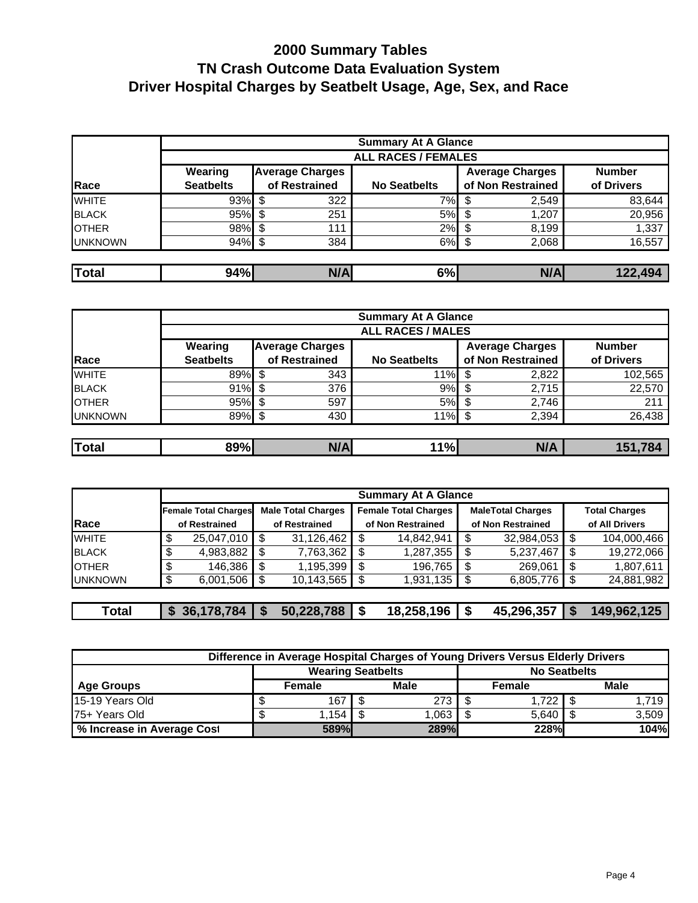|                 |                            |                        | <b>Summary At A Glance</b> |                        |               |  |  |  |  |  |  |  |
|-----------------|----------------------------|------------------------|----------------------------|------------------------|---------------|--|--|--|--|--|--|--|
|                 | <b>ALL RACES / FEMALES</b> |                        |                            |                        |               |  |  |  |  |  |  |  |
|                 | Wearing                    | <b>Average Charges</b> |                            | <b>Average Charges</b> | <b>Number</b> |  |  |  |  |  |  |  |
| Race            | <b>Seatbelts</b>           | of Restrained          | <b>No Seatbelts</b>        | of Non Restrained      | of Drivers    |  |  |  |  |  |  |  |
| <b>WHITE</b>    | 93%                        | 322<br>S               | 7%l                        | 2,549                  | 83,644        |  |  |  |  |  |  |  |
| <b>BLACK</b>    | 95%                        | 251<br>S               | 5%                         | 1,207                  | 20,956        |  |  |  |  |  |  |  |
| <b>I</b> OTHER  | $98\%$ \$                  | 111                    | 2%                         | 8,199                  | 1,337         |  |  |  |  |  |  |  |
| <b>IUNKNOWN</b> | 94%                        | 384                    | 6%                         | 2,068                  | 16,557        |  |  |  |  |  |  |  |
|                 |                            |                        |                            |                        |               |  |  |  |  |  |  |  |
| Total           | 94%                        | N/A                    | 6%                         | N/A                    | 122,494       |  |  |  |  |  |  |  |

|                |                          | <b>Summary At A Glance</b> |                     |                        |               |  |  |  |  |  |  |  |
|----------------|--------------------------|----------------------------|---------------------|------------------------|---------------|--|--|--|--|--|--|--|
|                | <b>ALL RACES / MALES</b> |                            |                     |                        |               |  |  |  |  |  |  |  |
|                | Wearing                  | <b>Average Charges</b>     |                     | <b>Average Charges</b> | <b>Number</b> |  |  |  |  |  |  |  |
| Race           | <b>Seatbelts</b>         | of Restrained              | <b>No Seatbelts</b> | of Non Restrained      | of Drivers    |  |  |  |  |  |  |  |
| <b>WHITE</b>   | 89%                      | 343                        | 11%                 | 2,822                  | 102,565       |  |  |  |  |  |  |  |
| <b>BLACK</b>   | 91%                      | 376                        | 9%                  | 2,715                  | 22,570        |  |  |  |  |  |  |  |
| <b>I</b> OTHER | 95%                      | 597<br>S                   | 5%                  | 2,746                  | 211           |  |  |  |  |  |  |  |
| <b>UNKNOWN</b> | 89%                      | 430<br>S                   | 11%                 | 2,394<br>ß.            | 26,438        |  |  |  |  |  |  |  |
|                |                          |                            |                     |                        |               |  |  |  |  |  |  |  |
| Total          | 89%                      | N/A                        | 11%l                | N/A                    | 151,784       |  |  |  |  |  |  |  |

| <b>Summary At A Glance</b> |    |                             |     |                           |                   |                             |                   |                          |                      |                |
|----------------------------|----|-----------------------------|-----|---------------------------|-------------------|-----------------------------|-------------------|--------------------------|----------------------|----------------|
|                            |    | <b>Female Total Charges</b> |     | <b>Male Total Charges</b> |                   | <b>Female Total Charges</b> |                   | <b>MaleTotal Charges</b> | <b>Total Charges</b> |                |
| Race                       |    | of Restrained               |     | of Restrained             | of Non Restrained |                             | of Non Restrained |                          |                      | of All Drivers |
| <b>WHITE</b>               | \$ | 25,047,010                  | \$. | 31,126,462                | S                 | 14.842.941                  |                   | $32,984,053$   \$        |                      | 104,000,466    |
| <b>BLACK</b>               | \$ | 4,983,882                   | S   | 7,763,362                 | S                 | 1,287,355                   | - \$              | 5,237,467                | \$.                  | 19,272,066     |
| <b>I</b> OTHER             | \$ | 146.386                     | \$  | 1,195,399                 | S                 | 196,765                     |                   | 269,061                  |                      | 1,807,611      |
| <b>IUNKNOWN</b>            | \$ | 6,001,506                   |     | 10,143,565                | S                 | 1,931,135                   | - \$              | 6,805,776                |                      | 24,881,982     |
|                            |    |                             |     |                           |                   |                             |                   |                          |                      |                |
| Total                      |    | 36,178,784                  |     | 50,228,788                | S                 | 18,258,196                  |                   | 45,296,357               | l S                  | 149,962,125    |

| Difference in Average Hospital Charges of Young Drivers Versus Elderly Drivers |  |                          |  |       |  |                     |  |       |  |
|--------------------------------------------------------------------------------|--|--------------------------|--|-------|--|---------------------|--|-------|--|
|                                                                                |  | <b>Wearing Seatbelts</b> |  |       |  | <b>No Seatbelts</b> |  |       |  |
| Age Groups                                                                     |  | Female                   |  | Male  |  | Female              |  | Male  |  |
| 15-19 Years Old                                                                |  | 167 I                    |  | 273   |  | 1,722 $\frac{1}{3}$ |  | 1.719 |  |
| 75+ Years Old                                                                  |  | 1.154 I                  |  | 1,063 |  | $5,640$ \$          |  | 3,509 |  |
| % Increase in Average Cost                                                     |  | 589%                     |  | 289%  |  | 228%                |  | 104%  |  |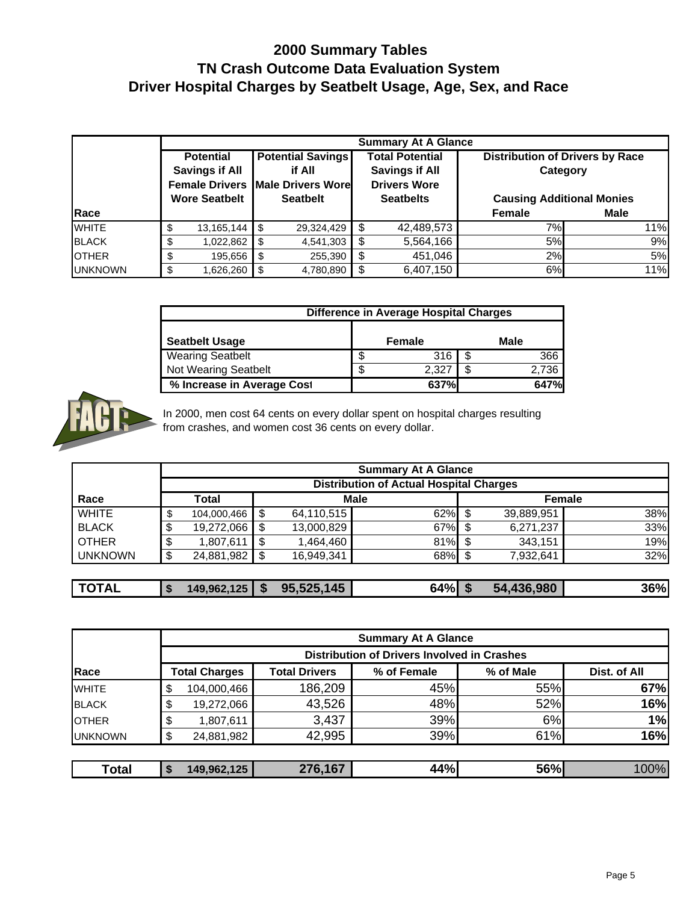|                      |                         | <b>Summary At A Glance</b>              |                        |                                                    |             |  |  |  |  |  |  |  |  |
|----------------------|-------------------------|-----------------------------------------|------------------------|----------------------------------------------------|-------------|--|--|--|--|--|--|--|--|
|                      | <b>Potential</b>        | <b>Potential Savings</b>                | <b>Total Potential</b> | <b>Distribution of Drivers by Race</b><br>Category |             |  |  |  |  |  |  |  |  |
|                      | <b>Savings if All</b>   | if All                                  | <b>Savings if All</b>  |                                                    |             |  |  |  |  |  |  |  |  |
|                      |                         | <b>Female Drivers Male Drivers Wore</b> | <b>Drivers Wore</b>    |                                                    |             |  |  |  |  |  |  |  |  |
| <b>Wore Seatbelt</b> |                         | <b>Seatbelt</b>                         | <b>Seatbelts</b>       | <b>Causing Additional Monies</b>                   |             |  |  |  |  |  |  |  |  |
| <b>IRace</b>         |                         |                                         |                        | <b>Female</b>                                      | <b>Male</b> |  |  |  |  |  |  |  |  |
| <b>WHITE</b>         | $13,165,144$   \$<br>\$ | 29,324,429                              | 42,489,573<br>S        | 7%I                                                | 11%         |  |  |  |  |  |  |  |  |
| <b>BLACK</b>         | \$<br>1,022,862         | 4,541,303<br>\$                         | 5,564,166<br>- \$      | 5%                                                 | 9%          |  |  |  |  |  |  |  |  |
| <b>OTHER</b>         | 195,656<br>\$           | 255,390<br>\$                           | 451,046<br>S           | 2%                                                 | 5%          |  |  |  |  |  |  |  |  |
| <b>IUNKNOWN</b>      | \$<br>1,626,260         | 4,780,890<br>\$                         | \$<br>6,407,150        | 6%                                                 | 11%         |  |  |  |  |  |  |  |  |

|                             | Difference in Average Hospital Charges |        |  |       |  |  |  |  |  |
|-----------------------------|----------------------------------------|--------|--|-------|--|--|--|--|--|
| <b>Seatbelt Usage</b>       |                                        | Female |  | Male  |  |  |  |  |  |
| <b>Wearing Seatbelt</b>     | S                                      | 316    |  | 366   |  |  |  |  |  |
| <b>Not Wearing Seatbelt</b> | \$                                     | 2.327  |  | 2.736 |  |  |  |  |  |
| % Increase in Average Cost  |                                        | 637%   |  | 647%  |  |  |  |  |  |



In 2000, men cost 64 cents on every dollar spent on hospital charges resulting from crashes, and women cost 36 cents on every dollar.

|                | <b>Summary At A Glance</b>                     |             |             |            |     |      |               |     |  |  |  |
|----------------|------------------------------------------------|-------------|-------------|------------|-----|------|---------------|-----|--|--|--|
|                | <b>Distribution of Actual Hospital Charges</b> |             |             |            |     |      |               |     |  |  |  |
| Race           |                                                | Total       | <b>Male</b> |            |     |      | <b>Female</b> |     |  |  |  |
| <b>WHITE</b>   | \$                                             | 104,000,466 | \$          | 64,110,515 | 62% | - \$ | 39,889,951    | 38% |  |  |  |
| <b>BLACK</b>   | \$                                             | 19,272,066  | \$          | 13,000,829 | 67% | - \$ | 6,271,237     | 33% |  |  |  |
| <b>OTHER</b>   | \$                                             | 1,807,611   | \$          | 1,464,460  | 81% | - \$ | 343.151       | 19% |  |  |  |
| <b>UNKNOWN</b> | \$                                             | 24,881,982  | S           | 16.949.341 | 68% |      | 7,932,641     | 32% |  |  |  |
|                |                                                |             |             |            |     |      |               |     |  |  |  |

| 64%<br>,436,980<br>95,525,145<br><b>TOTAL</b><br>36%<br>149,962,125<br>54.<br>Ъ.<br><b>D</b> |
|----------------------------------------------------------------------------------------------|
|----------------------------------------------------------------------------------------------|

|                |                      |                      | <b>Summary At A Glance</b>                         |           |              |
|----------------|----------------------|----------------------|----------------------------------------------------|-----------|--------------|
|                |                      |                      | <b>Distribution of Drivers Involved in Crashes</b> |           |              |
| Race           | <b>Total Charges</b> | <b>Total Drivers</b> | % of Female                                        | % of Male | Dist. of All |
| <b>WHITE</b>   | \$<br>104,000,466    | 186,209              | 45%                                                | 55%       | 67%          |
| <b>BLACK</b>   | \$<br>19,272,066     | 43,526               | 48%                                                | 52%       | 16%          |
| <b>I</b> OTHER | \$<br>1,807,611      | 3,437                | 39%                                                | 6%        | 1%           |
| <b>UNKNOWN</b> | \$<br>24,881,982     | 42,995               | 39%                                                | 61%       | 16%          |
|                |                      |                      |                                                    |           |              |
| Total          | 149,962,125          | 276,167              | 44%                                                | 56%       | 100%         |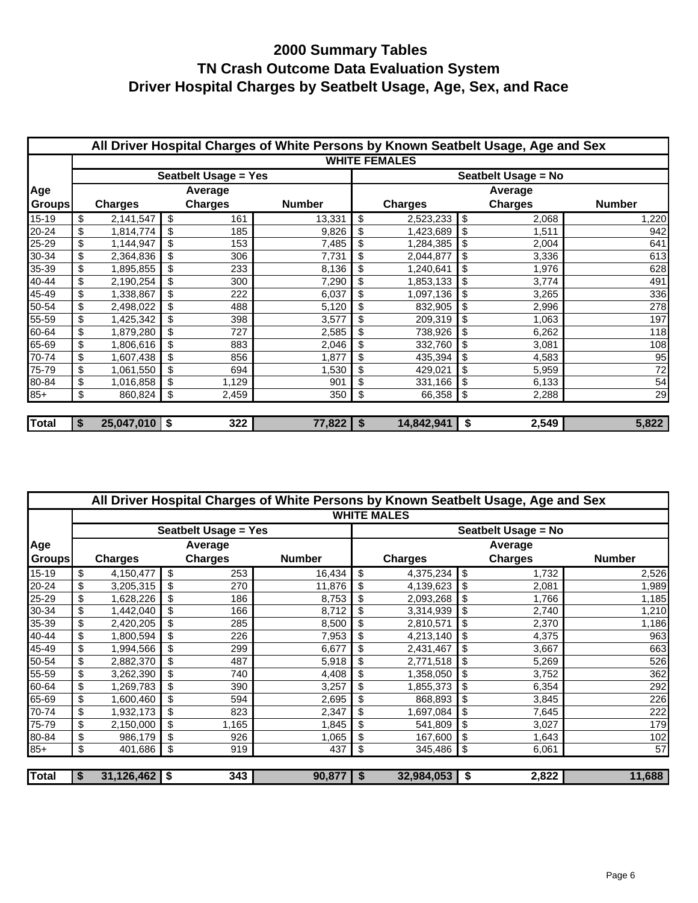|               |    |                |     |                             | All Driver Hospital Charges of White Persons by Known Seatbelt Usage, Age and Sex |                      |    |                     |               |  |
|---------------|----|----------------|-----|-----------------------------|-----------------------------------------------------------------------------------|----------------------|----|---------------------|---------------|--|
|               |    |                |     |                             |                                                                                   | <b>WHITE FEMALES</b> |    |                     |               |  |
|               |    |                |     | <b>Seatbelt Usage = Yes</b> |                                                                                   |                      |    | Seatbelt Usage = No |               |  |
| Age           |    |                |     | Average                     |                                                                                   | Average              |    |                     |               |  |
| <b>Groups</b> |    | <b>Charges</b> |     | <b>Charges</b>              | <b>Number</b>                                                                     | <b>Charges</b>       |    | <b>Charges</b>      | <b>Number</b> |  |
| 15-19         | \$ | 2,141,547      | \$  | 161                         | 13,331                                                                            | \$<br>2,523,233      | \$ | 2,068               | 1,220         |  |
| 20-24         | \$ | 1,814,774      | \$  | 185                         | 9,826                                                                             | \$<br>1,423,689      | \$ | 1,511               | 942           |  |
| 25-29         | \$ | 1,144,947      | \$  | 153                         | 7,485                                                                             | \$<br>1,284,385      | \$ | 2,004               | 641           |  |
| 30-34         | \$ | 2,364,836      | \$  | 306                         | 7,731                                                                             | \$<br>2,044,877      | \$ | 3,336               | 613           |  |
| 35-39         | \$ | 1,895,855      | \$  | 233                         | 8,136                                                                             | \$<br>1,240,641      | \$ | 1,976               | 628           |  |
| 40-44         | \$ | 2,190,254      | \$  | 300                         | 7,290                                                                             | \$<br>1,853,133      | \$ | 3,774               | 491           |  |
| 45-49         | \$ | 1,338,867      | \$  | 222                         | 6,037                                                                             | \$<br>1,097,136      | \$ | 3,265               | 336           |  |
| 50-54         | \$ | 2,498,022      | \$  | 488                         | 5,120                                                                             | \$<br>832,905        | \$ | 2,996               | 278           |  |
| 55-59         | \$ | 1,425,342      | \$  | 398                         | 3,577                                                                             | \$<br>209,319        | \$ | 1,063               | 197           |  |
| 60-64         | \$ | 1,879,280      | \$  | 727                         | 2,585                                                                             | \$<br>738,926        | \$ | 6,262               | 118           |  |
| 65-69         | \$ | 1,806,616      | \$  | 883                         | 2,046                                                                             | \$<br>332,760        | \$ | 3,081               | 108           |  |
| 70-74         | \$ | 1,607,438      | \$  | 856                         | 1,877                                                                             | \$<br>435,394        | \$ | 4,583               | 95            |  |
| 75-79         | \$ | 1,061,550      | \$  | 694                         | 1,530                                                                             | \$<br>429,021        | \$ | 5,959               | 72            |  |
| 80-84         | \$ | 1,016,858      | \$  | 1,129                       | 901                                                                               | \$<br>331,166        | \$ | 6,133               | 54            |  |
| $85+$         | \$ | 860,824        | \$  | 2,459                       | 350                                                                               | \$<br>66,358         | \$ | 2,288               | 29            |  |
| <b>Total</b>  | S  | 25,047,010     | -\$ | 322                         | $77,822$   \$                                                                     | 14,842,941           | \$ | 2,549               | 5,822         |  |

|               | All Driver Hospital Charges of White Persons by Known Seatbelt Usage, Age and Sex |                 |     |                             |               |     |                    |    |                     |               |  |  |
|---------------|-----------------------------------------------------------------------------------|-----------------|-----|-----------------------------|---------------|-----|--------------------|----|---------------------|---------------|--|--|
|               |                                                                                   |                 |     |                             |               |     | <b>WHITE MALES</b> |    |                     |               |  |  |
|               |                                                                                   |                 |     | <b>Seatbelt Usage = Yes</b> |               |     |                    |    | Seatbelt Usage = No |               |  |  |
| Age           |                                                                                   |                 |     | Average                     |               |     |                    |    | Average             |               |  |  |
| <b>Groups</b> | <b>Charges</b>                                                                    |                 |     | <b>Charges</b>              | <b>Number</b> |     | <b>Charges</b>     |    | <b>Charges</b>      | <b>Number</b> |  |  |
| $15-19$       | \$                                                                                | 4,150,477       | \$  | 253                         | 16,434        | \$  | 4,375,234          | \$ | 1,732               | 2,526         |  |  |
| 20-24         | \$                                                                                | 3,205,315       |     | 270                         | 11,876        | \$  | 4,139,623          | \$ | 2,081               | 1,989         |  |  |
| 25-29         | \$                                                                                | 1,628,226       |     | 186                         | 8,753         |     | 2,093,268          | \$ | 1,766               | 1,185         |  |  |
| 30-34         | \$                                                                                | 1,442,040       |     | 166                         | 8,712         | \$  | 3,314,939          |    | 2,740               | 1,210         |  |  |
| 35-39         | \$                                                                                | 2,420,205       |     | 285                         | 8,500         |     | 2,810,571          |    | 2,370               | 1,186         |  |  |
| 40-44         | \$                                                                                | 1,800,594       |     | 226                         | 7,953         |     | 4,213,140          | \$ | 4,375               | 963           |  |  |
| 45-49         | \$                                                                                | 1,994,566       |     | 299                         | 6,677         | \$. | 2,431,467          | \$ | 3,667               | 663           |  |  |
| 50-54         | \$                                                                                | 2,882,370       |     | 487                         | 5,918         |     | 2,771,518          |    | 5,269               | 526           |  |  |
| 55-59         | \$                                                                                | 3,262,390       |     | 740                         | 4,408         |     | 1,358,050          | \$ | 3,752               | 362           |  |  |
| 60-64         | \$                                                                                | 1,269,783       |     | 390                         | 3,257         | \$  | 1,855,373          | \$ | 6,354               | 292           |  |  |
| 65-69         | \$                                                                                | 1,600,460       | \$  | 594                         | 2,695         | \$  | 868,893            | \$ | 3,845               | 226           |  |  |
| 70-74         | \$                                                                                | 1,932,173       |     | 823                         | 2,347         | \$. | 1,697,084          | \$ | 7,645               | 222           |  |  |
| 75-79         | \$                                                                                | 2,150,000       |     | 1,165                       | 1,845         |     | 541,809            |    | 3,027               | 179           |  |  |
| 80-84         | \$                                                                                | 986,179         |     | 926                         | 1,065         |     | 167,600            | \$ | 1,643               | 102           |  |  |
| $85+$         | \$                                                                                | 401,686         | -\$ | 919                         | 437           | \$  | 345,486            | \$ | 6,061               | 57            |  |  |
| <b>Total</b>  | S                                                                                 | $31,126,462$ \$ |     | 343                         | $90,877$ \$   |     | 32,984,053         | S  | 2,822               | 11,688        |  |  |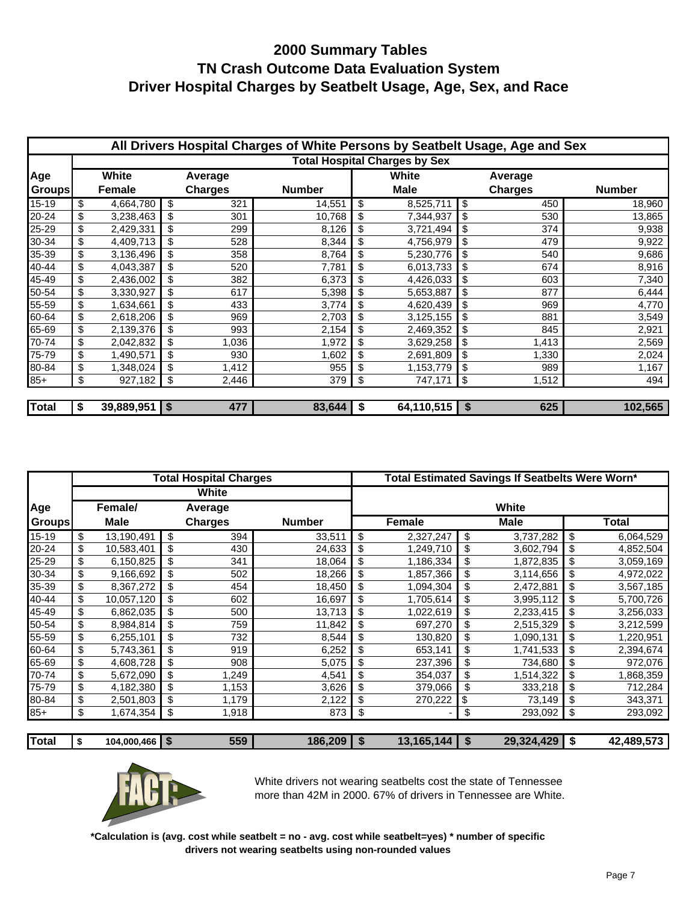|               |                 |                | All Drivers Hospital Charges of White Persons by Seatbelt Usage, Age and Sex |                                      |                |               |
|---------------|-----------------|----------------|------------------------------------------------------------------------------|--------------------------------------|----------------|---------------|
|               |                 |                |                                                                              | <b>Total Hospital Charges by Sex</b> |                |               |
| Age           | White           | Average        |                                                                              | White                                | Average        |               |
| <b>Groups</b> | <b>Female</b>   | <b>Charges</b> | <b>Number</b>                                                                | <b>Male</b>                          | <b>Charges</b> | <b>Number</b> |
| 15-19         | \$<br>4,664,780 | \$<br>321      | 14,551                                                                       | \$<br>8,525,711                      | \$<br>450      | 18,960        |
| 20-24         | \$<br>3,238,463 | \$<br>301      | 10,768                                                                       | \$<br>7,344,937                      | \$<br>530      | 13,865        |
| 25-29         | \$<br>2,429,331 | \$<br>299      | 8,126                                                                        | \$<br>3,721,494                      | \$<br>374      | 9,938         |
| 30-34         | \$<br>4,409,713 | \$<br>528      | 8,344                                                                        | \$<br>4,756,979                      | \$<br>479      | 9,922         |
| 35-39         | \$<br>3,136,496 | \$<br>358      | 8,764                                                                        | \$<br>5,230,776                      | \$<br>540      | 9,686         |
| 40-44         | \$<br>4,043,387 | \$<br>520      | 7,781                                                                        | \$<br>6,013,733                      | \$<br>674      | 8,916         |
| 45-49         | \$<br>2,436,002 | \$<br>382      | 6,373                                                                        | \$<br>4,426,033                      | \$<br>603      | 7,340         |
| 50-54         | \$<br>3,330,927 | \$<br>617      | 5,398                                                                        | \$<br>5,653,887                      | \$<br>877      | 6,444         |
| 55-59         | \$<br>1,634,661 | \$<br>433      | 3,774                                                                        | \$<br>4,620,439                      | \$<br>969      | 4,770         |
| 60-64         | \$<br>2,618,206 | \$<br>969      | 2,703                                                                        | \$<br>3,125,155                      | \$<br>881      | 3,549         |
| 65-69         | \$<br>2,139,376 | \$<br>993      | 2,154                                                                        | \$<br>2,469,352                      | \$<br>845      | 2,921         |
| 70-74         | \$<br>2,042,832 | \$<br>1,036    | 1,972                                                                        | \$<br>3,629,258                      | \$<br>1,413    | 2,569         |
| 75-79         | \$<br>1,490,571 | \$<br>930      | 1,602                                                                        | \$<br>2,691,809                      | \$<br>1,330    | 2,024         |
| 80-84         | \$<br>1,348,024 | \$<br>1,412    | 955                                                                          | \$<br>1,153,779                      | \$<br>989      | 1,167         |
| $85+$         | \$<br>927,182   | \$<br>2,446    | 379                                                                          | \$<br>747,171                        | \$<br>1,512    | 494           |
|               |                 |                |                                                                              |                                      |                |               |
| <b>Total</b>  | $39,889,951$ \$ | 477            | 83,644                                                                       | \$<br>$64,110,515$ \$                | 625            | 102,565       |

|               |                  | <b>Total Hospital Charges</b> |               | Total Estimated Savings If Seatbelts Were Worn* |           |    |             |    |           |  |
|---------------|------------------|-------------------------------|---------------|-------------------------------------------------|-----------|----|-------------|----|-----------|--|
|               |                  | White                         |               |                                                 |           |    |             |    |           |  |
| Age           | Female/          | Average                       |               |                                                 |           |    | White       |    |           |  |
| <b>Groups</b> | <b>Male</b>      | <b>Charges</b>                | <b>Number</b> | <b>Female</b>                                   |           |    | <b>Male</b> |    | Total     |  |
| 15-19         | \$<br>13,190,491 | \$<br>394                     | 33,511        | \$                                              | 2,327,247 | \$ | 3,737,282   | \$ | 6,064,529 |  |
| 20-24         | \$<br>10,583,401 | \$<br>430                     | 24,633        | \$                                              | 1,249,710 | \$ | 3,602,794   | \$ | 4,852,504 |  |
| 25-29         | \$<br>6,150,825  | \$<br>341                     | 18,064        | \$                                              | 1,186,334 | \$ | 1,872,835   | \$ | 3,059,169 |  |
| 30-34         | \$<br>9,166,692  | \$<br>502                     | 18,266        | \$                                              | 1,857,366 | \$ | 3,114,656   | \$ | 4,972,022 |  |
| 35-39         | \$<br>8,367,272  | \$<br>454                     | 18,450        | \$                                              | 1,094,304 | \$ | 2,472,881   | \$ | 3,567,185 |  |
| 40-44         | \$<br>10,057,120 | \$<br>602                     | 16,697        | \$                                              | 1,705,614 | \$ | 3,995,112   | \$ | 5,700,726 |  |
| 45-49         | \$<br>6,862,035  | \$<br>500                     | 13,713        | \$                                              | 1,022,619 | \$ | 2,233,415   | \$ | 3,256,033 |  |
| 50-54         | \$<br>8,984,814  | \$<br>759                     | 11,842        | \$                                              | 697,270   | \$ | 2,515,329   | \$ | 3,212,599 |  |
| 55-59         | \$<br>6,255,101  | \$<br>732                     | 8,544         | \$                                              | 130,820   | \$ | 1,090,131   | \$ | 1,220,951 |  |
| 60-64         | \$<br>5,743,361  | \$<br>919                     | 6,252         | \$                                              | 653,141   | \$ | 1,741,533   | \$ | 2,394,674 |  |
| 65-69         | \$<br>4,608,728  | \$<br>908                     | 5,075         | \$                                              | 237,396   | \$ | 734,680     | \$ | 972,076   |  |
| 70-74         | \$<br>5,672,090  | \$<br>1,249                   | 4,541         | \$                                              | 354,037   | \$ | 1,514,322   | \$ | 1,868,359 |  |
| 75-79         | \$<br>4,182,380  | \$<br>1,153                   | 3,626         | \$                                              | 379,066   | \$ | 333,218     | \$ | 712,284   |  |
| 80-84         | \$<br>2,501,803  | \$<br>1,179                   | 2,122         | \$                                              | 270,222   | \$ | 73,149      | \$ | 343,371   |  |
| $85+$         | \$<br>1,674,354  | \$<br>1,918                   | 873           | \$                                              |           | \$ | 293,092     | \$ | 293,092   |  |
|               |                  |                               |               |                                                 |           |    |             |    |           |  |

| Total | 104.000.466 | 550<br>- 20<br>JJJ | 186,209 | $\overline{1}$<br>144<br>ч6ь.<br>. . | .429<br>20 324 | - 17 | $- - - -$<br>4 R Q<br>$\sqrt{2}$<br>42<br>. |
|-------|-------------|--------------------|---------|--------------------------------------|----------------|------|---------------------------------------------|
|       |             |                    |         |                                      |                |      |                                             |



White drivers not wearing seatbelts cost the state of Tennessee more than 42M in 2000. 67% of drivers in Tennessee are White.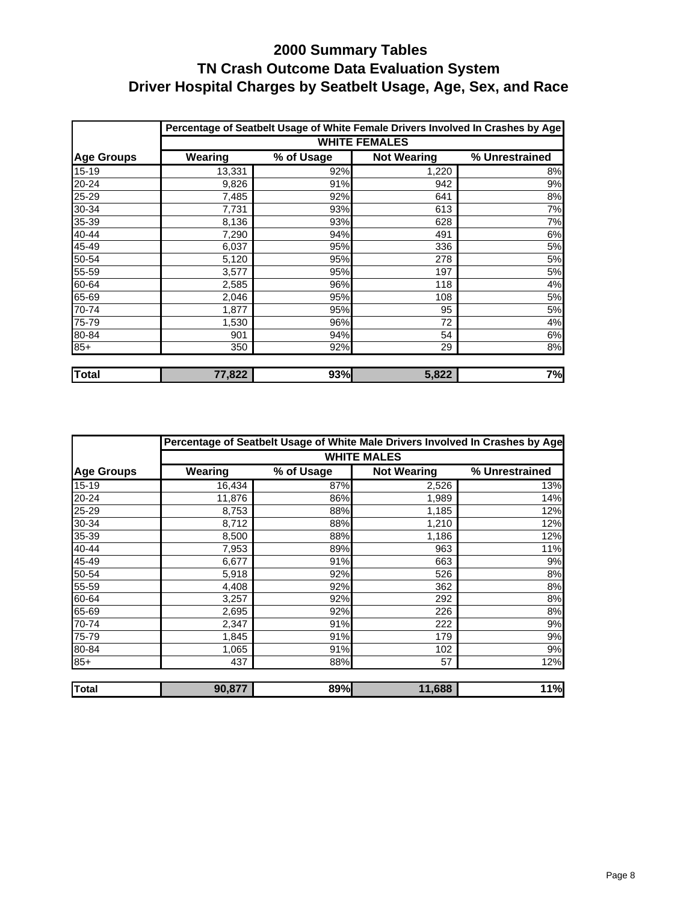|                   |         |            |                      | Percentage of Seatbelt Usage of White Female Drivers Involved In Crashes by Age |
|-------------------|---------|------------|----------------------|---------------------------------------------------------------------------------|
|                   |         |            | <b>WHITE FEMALES</b> |                                                                                 |
| <b>Age Groups</b> | Wearing | % of Usage | <b>Not Wearing</b>   | % Unrestrained                                                                  |
| $15 - 19$         | 13,331  | 92%        | 1,220                | 8%                                                                              |
| 20-24             | 9,826   | 91%        | 942                  | 9%                                                                              |
| 25-29             | 7,485   | 92%        | 641                  | 8%                                                                              |
| 30-34             | 7,731   | 93%        | 613                  | 7%                                                                              |
| 35-39             | 8,136   | 93%        | 628                  | 7%                                                                              |
| 40-44             | 7,290   | 94%        | 491                  | 6%                                                                              |
| 45-49             | 6,037   | 95%        | 336                  | 5%                                                                              |
| 50-54             | 5,120   | 95%        | 278                  | 5%                                                                              |
| 55-59             | 3,577   | 95%        | 197                  | 5%                                                                              |
| 60-64             | 2,585   | 96%        | 118                  | 4%                                                                              |
| 65-69             | 2,046   | 95%        | 108                  | 5%                                                                              |
| 70-74             | 1,877   | 95%        | 95                   | 5%                                                                              |
| 75-79             | 1,530   | 96%        | 72                   | 4%                                                                              |
| 80-84             | 901     | 94%        | 54                   | 6%                                                                              |
| $85+$             | 350     | 92%        | 29                   | 8%                                                                              |
| Total             | 77,822  | 93%        | 5,822                | 7%                                                                              |

|                   |         |            |                    | Percentage of Seatbelt Usage of White Male Drivers Involved In Crashes by Age |
|-------------------|---------|------------|--------------------|-------------------------------------------------------------------------------|
|                   |         |            | <b>WHITE MALES</b> |                                                                               |
| <b>Age Groups</b> | Wearing | % of Usage | <b>Not Wearing</b> | % Unrestrained                                                                |
| $15 - 19$         | 16,434  | 87%        | 2,526              | 13%                                                                           |
| 20-24             | 11,876  | 86%        | 1,989              | 14%                                                                           |
| 25-29             | 8,753   | 88%        | 1,185              | 12%                                                                           |
| 30-34             | 8,712   | 88%        | 1,210              | 12%                                                                           |
| 35-39             | 8,500   | 88%        | 1,186              | 12%                                                                           |
| 40-44             | 7,953   | 89%        | 963                | 11%                                                                           |
| 45-49             | 6,677   | 91%        | 663                | 9%                                                                            |
| 50-54             | 5,918   | 92%        | 526                | 8%                                                                            |
| 55-59             | 4,408   | 92%        | 362                | 8%                                                                            |
| 60-64             | 3,257   | 92%        | 292                | 8%                                                                            |
| 65-69             | 2,695   | 92%        | 226                | 8%                                                                            |
| 70-74             | 2,347   | 91%        | 222                | 9%                                                                            |
| 75-79             | 1,845   | 91%        | 179                | 9%                                                                            |
| 80-84             | 1,065   | 91%        | 102                | 9%                                                                            |
| $85+$             | 437     | 88%        | 57                 | 12%                                                                           |
| <b>Total</b>      | 90,877  | 89%        | 11,688             | 11%                                                                           |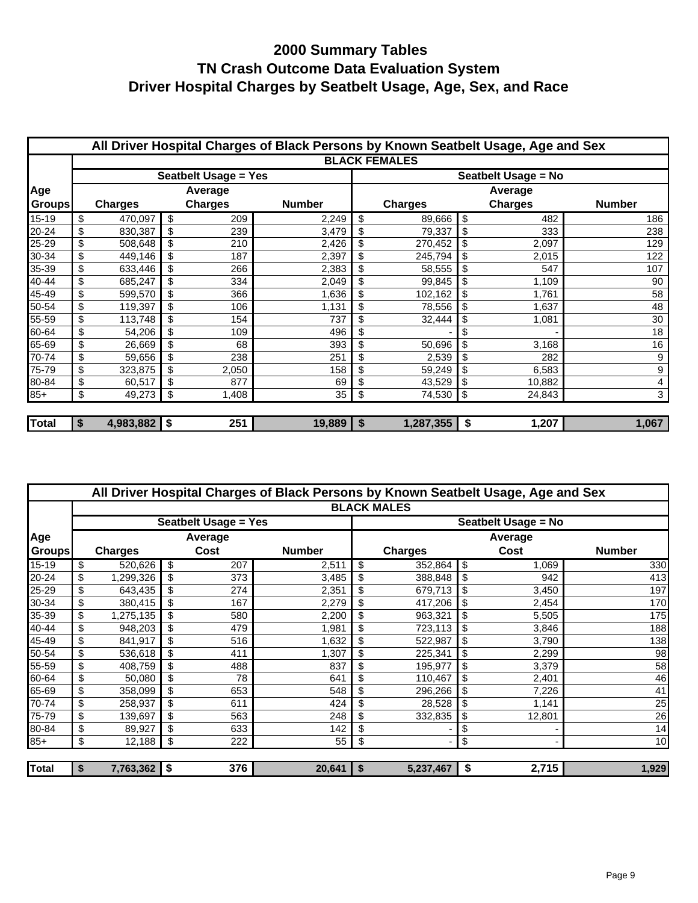|               |    |                |                |                             | All Driver Hospital Charges of Black Persons by Known Seatbelt Usage, Age and Sex |                      |    |                |                |  |  |
|---------------|----|----------------|----------------|-----------------------------|-----------------------------------------------------------------------------------|----------------------|----|----------------|----------------|--|--|
|               |    |                |                |                             |                                                                                   | <b>BLACK FEMALES</b> |    |                |                |  |  |
|               |    |                |                | <b>Seatbelt Usage = Yes</b> |                                                                                   | Seatbelt Usage = No  |    |                |                |  |  |
| Age           |    |                |                | Average                     |                                                                                   |                      |    | Average        |                |  |  |
| <b>Groups</b> |    | <b>Charges</b> | <b>Charges</b> |                             | <b>Number</b>                                                                     | <b>Charges</b>       |    | <b>Charges</b> | <b>Number</b>  |  |  |
| 15-19         | \$ | 470,097        | \$             | 209                         | 2,249                                                                             | \$<br>89,666         | \$ | 482            | 186            |  |  |
| 20-24         | \$ | 830,387        | \$             | 239                         | 3,479                                                                             | \$<br>79,337         | \$ | 333            | 238            |  |  |
| 25-29         | \$ | 508,648        | \$             | 210                         | 2,426                                                                             | \$<br>270,452        | \$ | 2,097          | 129            |  |  |
| 30-34         | \$ | 449,146        | \$             | 187                         | 2,397                                                                             | \$<br>245,794        | \$ | 2,015          | 122            |  |  |
| 35-39         | \$ | 633,446        | \$             | 266                         | 2,383                                                                             | \$<br>58,555         | \$ | 547            | 107            |  |  |
| 40-44         | \$ | 685,247        | \$             | 334                         | 2,049                                                                             | \$<br>99,845         | \$ | 1,109          | 90             |  |  |
| 45-49         | \$ | 599,570        | \$             | 366                         | 1,636                                                                             | \$<br>102,162        | \$ | 1,761          | 58             |  |  |
| 50-54         | \$ | 119,397        | \$             | 106                         | 1,131                                                                             | \$<br>78,556         | \$ | 1,637          | 48             |  |  |
| 55-59         | \$ | 113,748        | \$             | 154                         | 737                                                                               | \$<br>32,444         | \$ | 1,081          | 30             |  |  |
| 60-64         | \$ | 54,206         | \$             | 109                         | 496                                                                               | \$                   | \$ |                | 18             |  |  |
| 65-69         | \$ | 26,669         | \$             | 68                          | 393                                                                               | \$<br>50,696         | \$ | 3,168          | 16             |  |  |
| 70-74         | \$ | 59,656         | \$             | 238                         | 251                                                                               | \$<br>2,539          | \$ | 282            | 9              |  |  |
| 75-79         | \$ | 323,875        |                | 2,050                       | 158                                                                               | \$<br>59,249         | \$ | 6,583          | $9\,$          |  |  |
| 80-84         | \$ | 60,517         | \$             | 877                         | 69                                                                                | \$<br>43,529         | \$ | 10,882         | $\overline{4}$ |  |  |
| $85+$         | \$ | 49,273         | \$             | 1,408                       | 35                                                                                | \$<br>74,530         | \$ | 24,843         | 3              |  |  |
|               |    |                |                |                             |                                                                                   |                      |    |                |                |  |  |
| <b>Total</b>  | S  | $4,983,882$ \$ |                | 251                         | $19,889$   \$                                                                     | 1,287,355            | \$ | 1,207          | 1,067          |  |  |

|               |                      |                             |               | All Driver Hospital Charges of Black Persons by Known Seatbelt Usage, Age and Sex |    |                     |               |  |  |  |
|---------------|----------------------|-----------------------------|---------------|-----------------------------------------------------------------------------------|----|---------------------|---------------|--|--|--|
|               |                      |                             |               | <b>BLACK MALES</b>                                                                |    |                     |               |  |  |  |
|               |                      | <b>Seatbelt Usage = Yes</b> |               |                                                                                   |    | Seatbelt Usage = No |               |  |  |  |
| Age           |                      | Average                     |               | Average                                                                           |    |                     |               |  |  |  |
| <b>Groups</b> | <b>Charges</b>       | Cost                        | <b>Number</b> | <b>Charges</b>                                                                    |    | Cost                | <b>Number</b> |  |  |  |
| 15-19         | \$<br>520,626        | \$<br>207                   | 2,511         | \$<br>352,864                                                                     | \$ | 1,069               | 330           |  |  |  |
| 20-24         | \$<br>1,299,326      | 373                         | 3,485         | 388,848                                                                           | \$ | 942                 | 413           |  |  |  |
| 25-29         | \$<br>643,435        | 274                         | 2,351         | 679,713                                                                           |    | 3,450               | 197           |  |  |  |
| 30-34         | \$<br>380,415        | 167                         | 2,279         | 417,206                                                                           | S  | 2,454               | 170           |  |  |  |
| 35-39         | \$<br>1,275,135      | 580                         | 2,200         | 963,321                                                                           |    | 5,505               | 175           |  |  |  |
| 40-44         | \$<br>948,203        | 479                         | 1,981         | 723,113                                                                           | \$ | 3,846               | 188           |  |  |  |
| 45-49         | \$<br>841,917        | 516                         | 1,632         | 522,987                                                                           |    | 3,790               | 138           |  |  |  |
| 50-54         | \$<br>536,618        | 411                         | 1,307         | 225,341                                                                           | \$ | 2,299               | 98            |  |  |  |
| 55-59         | \$<br>408,759        | 488                         | 837           | \$<br>195,977                                                                     |    | 3,379               | 58            |  |  |  |
| 60-64         | \$<br>50,080         | 78                          | 641           | 110,467                                                                           |    | 2,401               | 46            |  |  |  |
| 65-69         | \$<br>358,099        | 653                         | 548           | 296,266                                                                           | \$ | 7,226               | 41            |  |  |  |
| 70-74         | \$<br>258,937        | 611                         | 424           | 28,528                                                                            | \$ | 1,141               | 25            |  |  |  |
| 75-79         | \$<br>139,697        | 563                         | 248           | 332,835                                                                           |    | 12,801              | 26            |  |  |  |
| 80-84         | \$<br>89,927         | 633                         | 142           |                                                                                   | \$ |                     | 14            |  |  |  |
| $85+$         | \$<br>12,188         | \$<br>222                   | 55            | \$                                                                                | \$ |                     | 10            |  |  |  |
|               |                      |                             |               |                                                                                   |    |                     |               |  |  |  |
| <b>Total</b>  | \$<br>7,763,362   \$ | 376                         | 20,641        | \$<br>5,237,467                                                                   | \$ | 2,715               | 1,929         |  |  |  |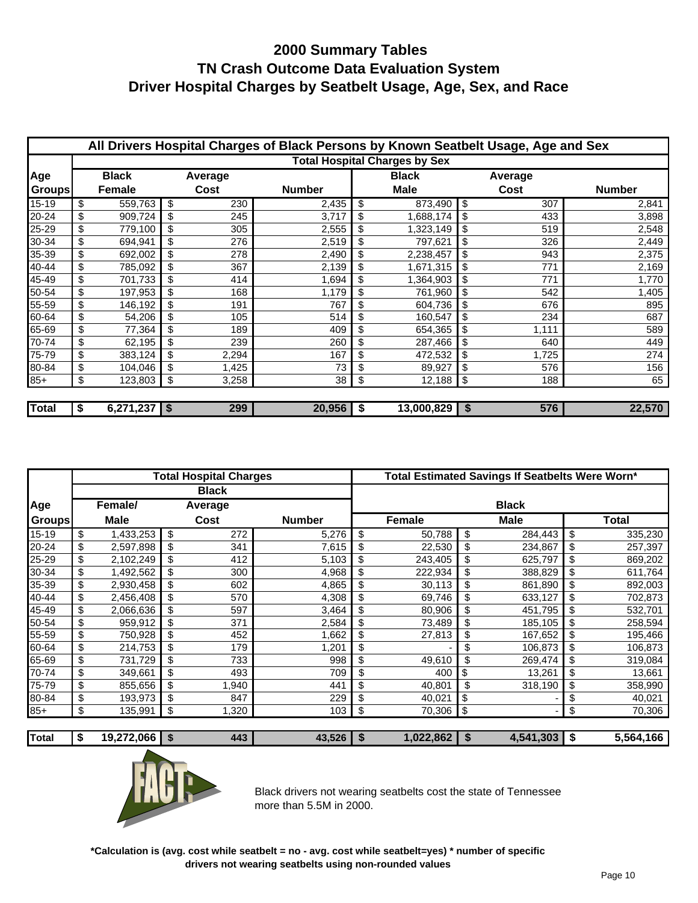|               | All Drivers Hospital Charges of Black Persons by Known Seatbelt Usage, Age and Sex |                |    |              |               |    |                                      |    |       |               |  |
|---------------|------------------------------------------------------------------------------------|----------------|----|--------------|---------------|----|--------------------------------------|----|-------|---------------|--|
|               |                                                                                    |                |    |              |               |    | <b>Total Hospital Charges by Sex</b> |    |       |               |  |
| Age           | <b>Black</b><br>Average                                                            |                |    | <b>Black</b> |               |    | Average                              |    |       |               |  |
| <b>Groups</b> |                                                                                    | Female         |    | Cost         | <b>Number</b> |    | <b>Male</b>                          |    | Cost  | <b>Number</b> |  |
| $15 - 19$     | \$                                                                                 | 559,763        | \$ | 230          | 2,435         | \$ | 873,490                              | \$ | 307   | 2,841         |  |
| 20-24         | \$                                                                                 | 909,724        | \$ | 245          | 3,717         | \$ | 1,688,174                            |    | 433   | 3,898         |  |
| 25-29         | \$                                                                                 | 779,100        | \$ | 305          | 2,555         | \$ | 1,323,149                            | \$ | 519   | 2,548         |  |
| 30-34         | \$                                                                                 | 694,941        | \$ | 276          | 2,519         | \$ | 797,621                              | \$ | 326   | 2,449         |  |
| 35-39         | \$                                                                                 | 692,002        |    | 278          | 2,490         | \$ | 2,238,457                            | \$ | 943   | 2,375         |  |
| 40-44         | \$                                                                                 | 785,092        | \$ | 367          | 2,139         | \$ | 1,671,315                            | \$ | 771   | 2,169         |  |
| 45-49         | \$                                                                                 | 701,733        | \$ | 414          | 1,694         | \$ | 1,364,903                            | \$ | 771   | 1,770         |  |
| 50-54         | \$                                                                                 | 197,953        | \$ | 168          | 1,179         | \$ | 761,960                              | \$ | 542   | 1,405         |  |
| 55-59         | \$                                                                                 | 146,192        |    | 191          | 767           | \$ | 604,736                              |    | 676   | 895           |  |
| 60-64         | \$                                                                                 | 54,206         | \$ | 105          | 514           | \$ | 160,547                              | \$ | 234   | 687           |  |
| 65-69         | \$                                                                                 | 77,364         | \$ | 189          | 409           | \$ | 654,365                              | \$ | 1,111 | 589           |  |
| 70-74         | \$                                                                                 | 62,195         | \$ | 239          | 260           | \$ | 287,466                              | \$ | 640   | 449           |  |
| 75-79         | \$                                                                                 | 383,124        | \$ | 2,294        | 167           | \$ | 472,532                              | \$ | 1,725 | 274           |  |
| 80-84         | \$                                                                                 | 104,046        | \$ | 1,425        | 73            | \$ | 89,927                               | \$ | 576   | 156           |  |
| $85+$         | \$                                                                                 | 123,803        | \$ | 3,258        | 38            | \$ | 12,188                               | \$ | 188   | 65            |  |
|               |                                                                                    |                |    |              |               |    |                                      |    |       |               |  |
| <b>Total</b>  | \$                                                                                 | $6,271,237$ \$ |    | 299          | 20,956        | \$ | $13,000,829$ \$                      |    | 576   | 22,570        |  |

|               |                 | <b>Total Hospital Charges</b> |               | Total Estimated Savings If Seatbelts Were Worn* |    |             |    |         |  |  |
|---------------|-----------------|-------------------------------|---------------|-------------------------------------------------|----|-------------|----|---------|--|--|
|               |                 | <b>Black</b>                  |               |                                                 |    |             |    |         |  |  |
| Age           | Female/         | Average                       |               | <b>Black</b>                                    |    |             |    |         |  |  |
| <b>Groups</b> | <b>Male</b>     | Cost                          | <b>Number</b> | Female                                          |    | <b>Male</b> |    | Total   |  |  |
| 15-19         | \$<br>1,433,253 | \$<br>272                     | 5,276         | \$<br>50,788                                    | \$ | 284,443     | \$ | 335,230 |  |  |
| 20-24         | \$<br>2,597,898 | \$<br>341                     | 7,615         | \$<br>22,530                                    | \$ | 234,867     | \$ | 257,397 |  |  |
| 25-29         | \$<br>2,102,249 | \$<br>412                     | 5,103         | \$<br>243,405                                   | \$ | 625,797     | \$ | 869,202 |  |  |
| 30-34         | \$<br>1,492,562 | \$<br>300                     | 4,968         | 222,934                                         | \$ | 388,829     | \$ | 611,764 |  |  |
| 35-39         | \$<br>2,930,458 | \$<br>602                     | 4,865         | 30,113                                          | \$ | 861,890     | \$ | 892,003 |  |  |
| 40-44         | \$<br>2,456,408 | \$<br>570                     | 4,308         | \$<br>69,746                                    | \$ | 633,127     | \$ | 702,873 |  |  |
| 45-49         | \$<br>2,066,636 | \$<br>597                     | 3,464         | \$<br>80,906                                    | \$ | 451,795     | \$ | 532,701 |  |  |
| 50-54         | \$<br>959,912   | \$<br>371                     | 2,584         | \$<br>73,489                                    | \$ | 185,105     | \$ | 258,594 |  |  |
| 55-59         | \$<br>750,928   | \$<br>452                     | 1,662         | \$<br>27,813                                    | \$ | 167,652     | \$ | 195,466 |  |  |
| 60-64         | \$<br>214,753   | 179                           | 1,201         | \$                                              | \$ | 106,873     | \$ | 106,873 |  |  |
| 65-69         | \$<br>731,729   | \$<br>733                     | 998           | \$<br>49,610                                    | \$ | 269,474     | \$ | 319,084 |  |  |
| 70-74         | \$<br>349,661   | \$<br>493                     | 709           | \$<br>400                                       | \$ | 13,261      | \$ | 13,661  |  |  |
| 75-79         | \$<br>855,656   | \$<br>1,940                   | 441           | \$<br>40,801                                    | \$ | 318,190     | \$ | 358,990 |  |  |
| 80-84         | \$<br>193,973   | 847                           | 229           | \$<br>40,021                                    | \$ |             | \$ | 40,021  |  |  |
| $85+$         | \$<br>135,991   | \$<br>1,320                   | 103           | \$<br>70,306                                    | \$ | ٠           | \$ | 70,306  |  |  |
|               |                 |                               |               |                                                 |    |             |    |         |  |  |

**Total \$ 19,272,066 \$ 43,526 443 \$ 4,541,30 1,022,862 \$ 5,564,16 3 \$ 6**



Black drivers not wearing seatbelts cost the state of Tennessee more than 5.5M in 2000.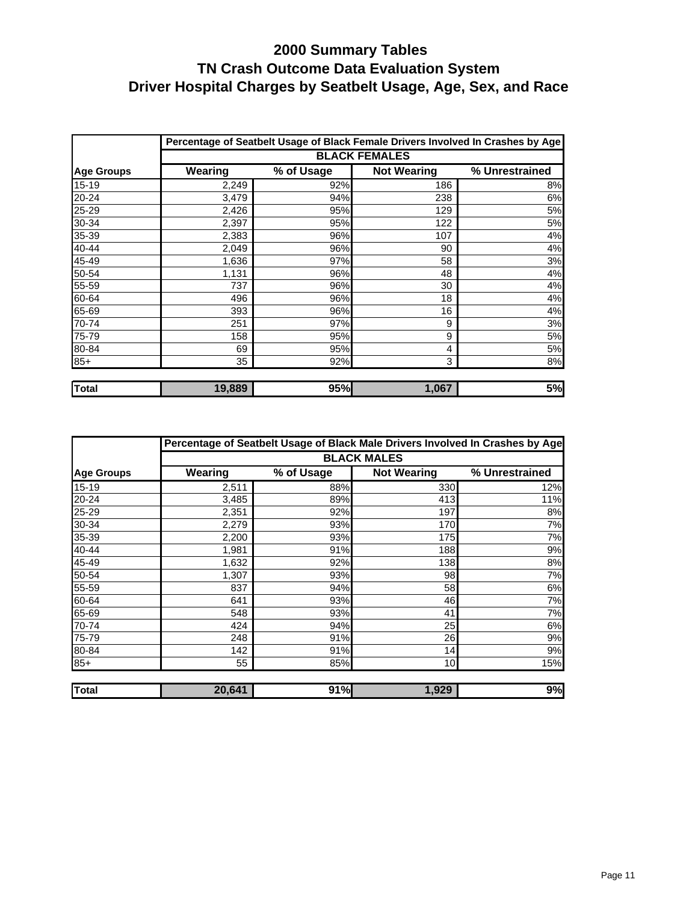|                   |         |            |                      | Percentage of Seatbelt Usage of Black Female Drivers Involved In Crashes by Age |
|-------------------|---------|------------|----------------------|---------------------------------------------------------------------------------|
|                   |         |            | <b>BLACK FEMALES</b> |                                                                                 |
| <b>Age Groups</b> | Wearing | % of Usage | <b>Not Wearing</b>   | % Unrestrained                                                                  |
| $15 - 19$         | 2,249   | 92%        | 186                  | 8%                                                                              |
| 20-24             | 3,479   | 94%        | 238                  | 6%                                                                              |
| 25-29             | 2,426   | 95%        | 129                  | 5%                                                                              |
| 30-34             | 2,397   | 95%        | 122                  | 5%                                                                              |
| 35-39             | 2,383   | 96%        | 107                  | 4%                                                                              |
| 40-44             | 2,049   | 96%        | 90                   | 4%                                                                              |
| 45-49             | 1,636   | 97%        | 58                   | 3%                                                                              |
| 50-54             | 1,131   | 96%        | 48                   | 4%                                                                              |
| 55-59             | 737     | 96%        | 30                   | 4%                                                                              |
| 60-64             | 496     | 96%        | 18                   | 4%                                                                              |
| 65-69             | 393     | 96%        | 16                   | 4%                                                                              |
| 70-74             | 251     | 97%        | 9                    | 3%                                                                              |
| 75-79             | 158     | 95%        | 9                    | 5%                                                                              |
| 80-84             | 69      | 95%        | 4                    | 5%                                                                              |
| $85+$             | 35      | 92%        | 3                    | 8%                                                                              |
| <b>Total</b>      | 19,889  | 95%        | 1,067                | 5%                                                                              |

|                   |         |            |                    | Percentage of Seatbelt Usage of Black Male Drivers Involved In Crashes by Age |
|-------------------|---------|------------|--------------------|-------------------------------------------------------------------------------|
|                   |         |            | <b>BLACK MALES</b> |                                                                               |
| <b>Age Groups</b> | Wearing | % of Usage | <b>Not Wearing</b> | % Unrestrained                                                                |
| 15-19             | 2,511   | 88%        | 330                | 12%                                                                           |
| 20-24             | 3,485   | 89%        | 413                | 11%                                                                           |
| 25-29             | 2,351   | 92%        | 197                | 8%                                                                            |
| 30-34             | 2,279   | 93%        | 170                | 7%                                                                            |
| 35-39             | 2,200   | 93%        | 175                | 7%                                                                            |
| 40-44             | 1,981   | 91%        | 188                | 9%                                                                            |
| 45-49             | 1,632   | 92%        | 138                | 8%                                                                            |
| 50-54             | 1,307   | 93%        | 98                 | 7%                                                                            |
| 55-59             | 837     | 94%        | 58                 | 6%                                                                            |
| 60-64             | 641     | 93%        | 46                 | 7%                                                                            |
| 65-69             | 548     | 93%        | 41                 | 7%                                                                            |
| 70-74             | 424     | 94%        | 25                 | 6%                                                                            |
| 75-79             | 248     | 91%        | 26                 | 9%                                                                            |
| 80-84             | 142     | 91%        | 14                 | 9%                                                                            |
| $85+$             | 55      | 85%        | 10                 | 15%                                                                           |
| <b>Total</b>      | 20,641  | 91%        | 1,929              | 9%                                                                            |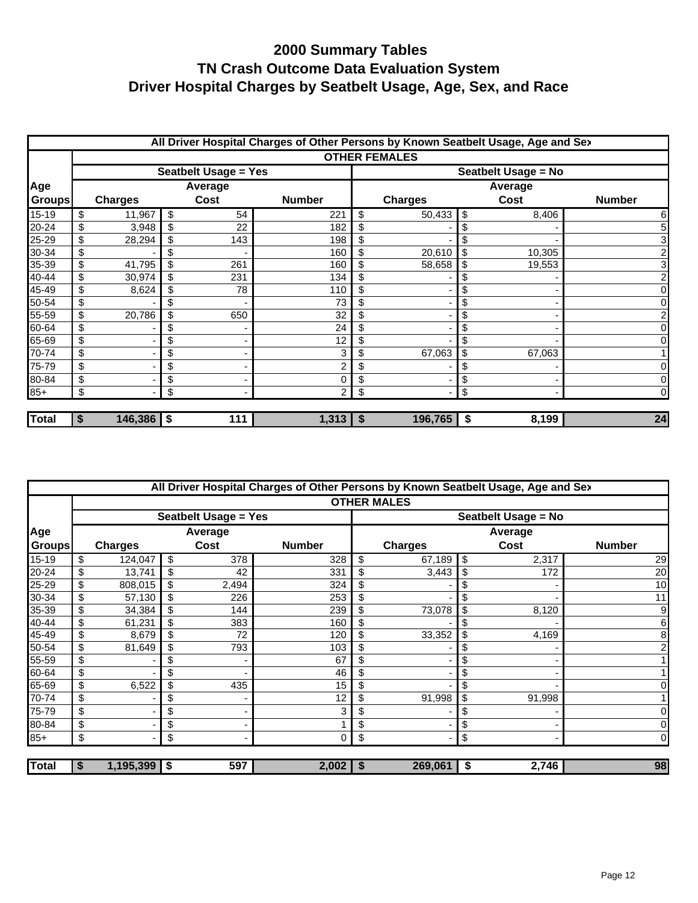|               | All Driver Hospital Charges of Other Persons by Known Seatbelt Usage, Age and Sex |                |    |                      |               |    |                      |    |         |               |  |  |
|---------------|-----------------------------------------------------------------------------------|----------------|----|----------------------|---------------|----|----------------------|----|---------|---------------|--|--|
|               |                                                                                   |                |    |                      |               |    | <b>OTHER FEMALES</b> |    |         |               |  |  |
|               |                                                                                   |                |    | Seatbelt Usage = Yes |               |    | Seatbelt Usage = No  |    |         |               |  |  |
| Age           | Average                                                                           |                |    |                      |               |    |                      |    | Average |               |  |  |
| <b>Groups</b> |                                                                                   | <b>Charges</b> |    | Cost                 | <b>Number</b> |    | <b>Charges</b>       |    | Cost    | <b>Number</b> |  |  |
| $15 - 19$     | \$                                                                                | 11,967         | \$ | 54                   | 221           | \$ | 50,433               | \$ | 8,406   | 6             |  |  |
| 20-24         | \$                                                                                | 3,948          | \$ | 22                   | 182           | \$ |                      | S  |         | 5             |  |  |
| 25-29         | \$                                                                                | 28,294         | \$ | 143                  | 198           |    |                      |    |         | 3             |  |  |
| 30-34         | \$                                                                                |                | \$ |                      | 160           | \$ | 20,610               | \$ | 10,305  | 2             |  |  |
| 35-39         | \$                                                                                | 41,795         |    | 261                  | 160           | \$ | 58,658               | \$ | 19,553  | 3             |  |  |
| 40-44         | \$                                                                                | 30,974         | \$ | 231                  | 134           | \$ |                      | \$ |         | 2             |  |  |
| 45-49         | \$                                                                                | 8,624          | \$ | 78                   | 110           | \$ |                      | \$ |         | 01            |  |  |
| 50-54         | \$                                                                                |                |    |                      | 73            |    |                      | \$ |         | Οl            |  |  |
| 55-59         | \$                                                                                | 20,786         | \$ | 650                  | 32            | \$ |                      | \$ |         | 2             |  |  |
| 60-64         | \$                                                                                |                | \$ |                      | 24            |    |                      | \$ |         | 0             |  |  |
| 65-69         | \$                                                                                |                | \$ |                      | 12            |    |                      |    |         | 0             |  |  |
| 70-74         | \$                                                                                |                | \$ |                      | 3             | \$ | 67,063               | \$ | 67,063  |               |  |  |
| 75-79         | \$                                                                                |                | \$ |                      |               | \$ |                      | \$ |         | $\Omega$      |  |  |
| 80-84         | \$                                                                                |                | \$ |                      |               | \$ |                      | \$ |         | 01            |  |  |
| $85+$         | \$                                                                                |                | \$ |                      | 2             | \$ |                      | \$ |         | $\Omega$      |  |  |
|               |                                                                                   |                |    |                      |               |    |                      |    |         |               |  |  |
| <b>Total</b>  | \$                                                                                | 146,386        | \$ | 111                  | $1,313$   \$  |    | 196,765              | \$ | 8,199   | 24            |  |  |

|               |                      |                             | All Driver Hospital Charges of Other Persons by Known Seatbelt Usage, Age and Sex |                     |    |        |                |  |
|---------------|----------------------|-----------------------------|-----------------------------------------------------------------------------------|---------------------|----|--------|----------------|--|
|               |                      |                             |                                                                                   | <b>OTHER MALES</b>  |    |        |                |  |
|               |                      | <b>Seatbelt Usage = Yes</b> |                                                                                   | Seatbelt Usage = No |    |        |                |  |
| Age           |                      | Average                     |                                                                                   | Average             |    |        |                |  |
| <b>Groups</b> | <b>Charges</b>       | Cost                        | <b>Number</b>                                                                     | <b>Charges</b>      |    | Cost   | <b>Number</b>  |  |
| $15 - 19$     | \$<br>124,047        | \$<br>378                   | 328                                                                               | \$<br>67,189        | \$ | 2,317  | 29             |  |
| 20-24         | \$<br>13,741         | 42                          | 331                                                                               | 3,443               |    | 172    | 20             |  |
| 25-29         | \$<br>808,015        | 2,494                       | 324                                                                               |                     |    |        | 10             |  |
| 30-34         | \$<br>57,130         | 226                         | 253                                                                               | \$                  |    |        | 11             |  |
| 35-39         | \$<br>34,384         | 144                         | 239                                                                               | 73,078              | \$ | 8,120  | 9              |  |
| 40-44         | \$<br>61,231         | \$<br>383                   | 160                                                                               | \$                  | S  |        | 6              |  |
| 45-49         | \$<br>8,679          | 72                          | 120                                                                               | 33,352              |    | 4,169  | 8              |  |
| 50-54         | \$<br>81,649         | 793                         | 103                                                                               |                     |    |        | 2              |  |
| 55-59         | \$                   |                             | 67                                                                                |                     | \$ |        |                |  |
| 60-64         | \$                   | \$                          | 46                                                                                |                     | \$ |        |                |  |
| 65-69         | \$<br>6,522          | \$<br>435                   | 15                                                                                |                     | \$ |        | 01             |  |
| 70-74         | \$                   |                             | 12                                                                                | 91,998              |    | 91,998 |                |  |
| 75-79         | \$                   | \$                          | 3                                                                                 |                     | S  |        | $\overline{0}$ |  |
| 80-84         | \$                   | \$                          |                                                                                   | \$                  | \$ |        | $\overline{0}$ |  |
| $85+$         | \$                   | \$                          | 0                                                                                 | \$                  | \$ |        | $\overline{0}$ |  |
|               |                      |                             |                                                                                   |                     |    |        |                |  |
| <b>Total</b>  | \$<br>$1,195,399$ \$ | 597                         | $2,002$   \$                                                                      | 269,061             | \$ | 2,746  | 98             |  |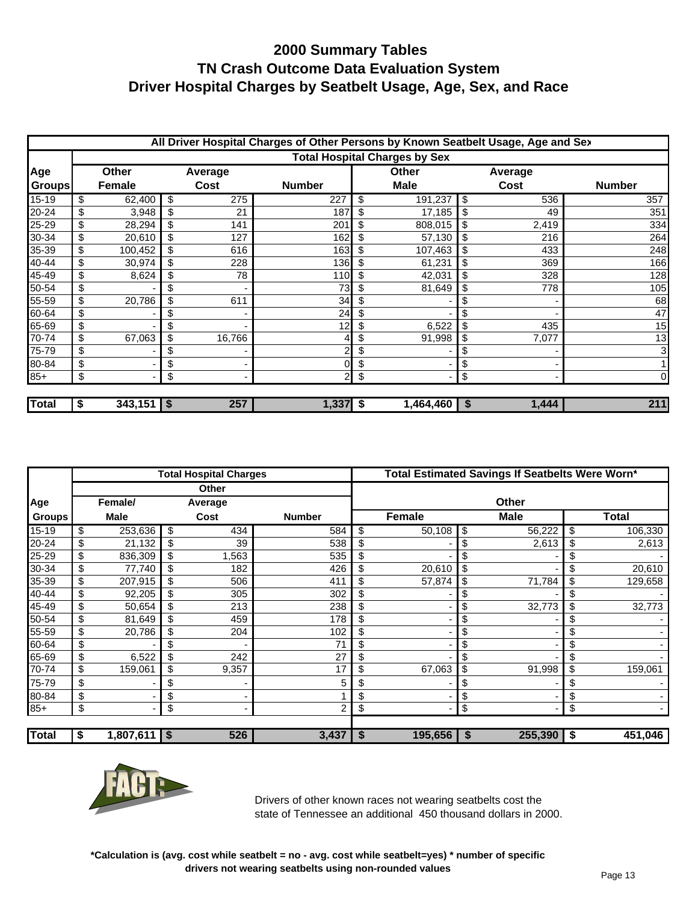|               | All Driver Hospital Charges of Other Persons by Known Seatbelt Usage, Age and Sex |              |      |        |                |    |                                      |          |       |               |  |  |
|---------------|-----------------------------------------------------------------------------------|--------------|------|--------|----------------|----|--------------------------------------|----------|-------|---------------|--|--|
|               |                                                                                   |              |      |        |                |    | <b>Total Hospital Charges by Sex</b> |          |       |               |  |  |
| Age           | <b>Other</b><br>Average                                                           |              |      |        | <b>Other</b>   |    | Average                              |          |       |               |  |  |
| <b>Groups</b> | Female                                                                            |              | Cost |        | <b>Number</b>  |    | <b>Male</b>                          |          | Cost  | <b>Number</b> |  |  |
| $15 - 19$     | \$                                                                                | 62,400       | \$   | 275    | 227            | \$ | 191,237                              | \$       | 536   | 357           |  |  |
| 20-24         | \$                                                                                | 3,948        |      | 21     | 187            |    | 17,185                               | \$       | 49    | 351           |  |  |
| 25-29         | \$                                                                                | 28,294       |      | 141    | 201            |    | 808,015                              | \$       | 2,419 | 334           |  |  |
| 30-34         | \$                                                                                | 20,610       |      | 127    | 162            | \$ | 57,130                               | \$       | 216   | 264           |  |  |
| 35-39         | \$                                                                                | 100,452      |      | 616    | 163            |    | 107,463                              |          | 433   | 248           |  |  |
| 40-44         | \$                                                                                | 30,974       | \$   | 228    | 136            |    | 61,231                               | \$       | 369   | 166           |  |  |
| 45-49         | \$                                                                                | 8,624        |      | 78     | 110            |    | 42,031                               | \$       | 328   | 128           |  |  |
| 50-54         | \$                                                                                |              |      |        | 73             |    | 81,649                               | \$       | 778   | 105           |  |  |
| 55-59         | \$                                                                                | 20,786       |      | 611    | 34             |    |                                      |          |       | 68            |  |  |
| 60-64         | \$                                                                                |              |      |        | 24             |    |                                      |          |       | 47            |  |  |
| 65-69         | \$                                                                                |              | \$   |        | 12             | \$ | 6,522                                | \$       | 435   | 15            |  |  |
| 70-74         | \$                                                                                | 67,063       | \$   | 16,766 |                | \$ | 91,998                               | \$       | 7,077 | 13            |  |  |
| 75-79         | \$                                                                                |              | \$   |        |                |    |                                      |          |       | 3             |  |  |
| 80-84         | \$                                                                                |              | \$   |        |                | \$ |                                      | \$       |       |               |  |  |
| $85+$         | \$                                                                                |              | \$   |        | $\overline{2}$ | \$ |                                      | \$       |       | 0l            |  |  |
| <b>Total</b>  | \$                                                                                | $343,151$ \$ |      | 257    | $1,337$ \$     |    | 1,464,460                            | <b>S</b> | 1,444 | 211           |  |  |

|               |    |                |    | <b>Total Hospital Charges</b> |               |    | Total Estimated Savings If Seatbelts Were Worn* |    |             |    |              |  |
|---------------|----|----------------|----|-------------------------------|---------------|----|-------------------------------------------------|----|-------------|----|--------------|--|
|               |    |                |    | <b>Other</b>                  |               |    |                                                 |    |             |    |              |  |
| Age           |    | Female/        |    | Average                       |               |    |                                                 |    | Other       |    |              |  |
| <b>Groups</b> |    | <b>Male</b>    |    | Cost                          | <b>Number</b> |    | <b>Female</b>                                   |    | <b>Male</b> |    | <b>Total</b> |  |
| $15 - 19$     | \$ | 253,636        | \$ | 434                           | 584           | \$ | 50,108                                          | \$ | 56,222      | \$ | 106,330      |  |
| 20-24         | \$ | 21,132         | \$ | 39                            | 538           | \$ |                                                 | \$ | 2,613       | \$ | 2,613        |  |
| 25-29         | \$ | 836,309        | \$ | 1,563                         | 535           | \$ |                                                 | \$ |             | \$ |              |  |
| 30-34         | \$ | 77,740         |    | 182                           | 426           |    | 20,610                                          | \$ |             |    | 20,610       |  |
| 35-39         | \$ | 207,915        |    | 506                           | 411           | \$ | 57,874                                          | \$ | 71,784      | \$ | 129,658      |  |
| 40-44         | \$ | 92,205         | \$ | 305                           | 302           | \$ |                                                 | \$ |             |    |              |  |
| 45-49         | \$ | 50,654         |    | 213                           | 238           | \$ |                                                 | \$ | 32,773      | \$ | 32,773       |  |
| 50-54         | \$ | 81,649         |    | 459                           | 178           | \$ |                                                 | \$ |             |    |              |  |
| 55-59         | \$ | 20,786         |    | 204                           | 102           | \$ |                                                 | \$ |             |    |              |  |
| 60-64         | \$ |                |    |                               | 71            |    |                                                 | \$ |             |    |              |  |
| 65-69         | \$ | 6,522          |    | 242                           | 27            |    |                                                 |    |             |    |              |  |
| 70-74         | \$ | 159,061        |    | 9,357                         | 17            |    | 67,063                                          | \$ | 91,998      | \$ | 159,061      |  |
| 75-79         | \$ |                |    |                               | 5             | S  |                                                 | S  |             | \$ |              |  |
| 80-84         | \$ |                | \$ |                               |               | \$ |                                                 | \$ |             | \$ |              |  |
| $85+$         | \$ |                | \$ |                               | 2             | \$ |                                                 | \$ | ۰           | \$ |              |  |
|               |    |                |    |                               |               |    |                                                 |    |             |    |              |  |
| <b>Total</b>  | \$ | $1,807,611$ \$ |    | 526                           | 3,437         | \$ | 195,656                                         | S  | 255,390     | \$ | 451,046      |  |



Drivers of other known races not wearing seatbelts cost the state of Tennessee an additional 450 thousand dollars in 2000.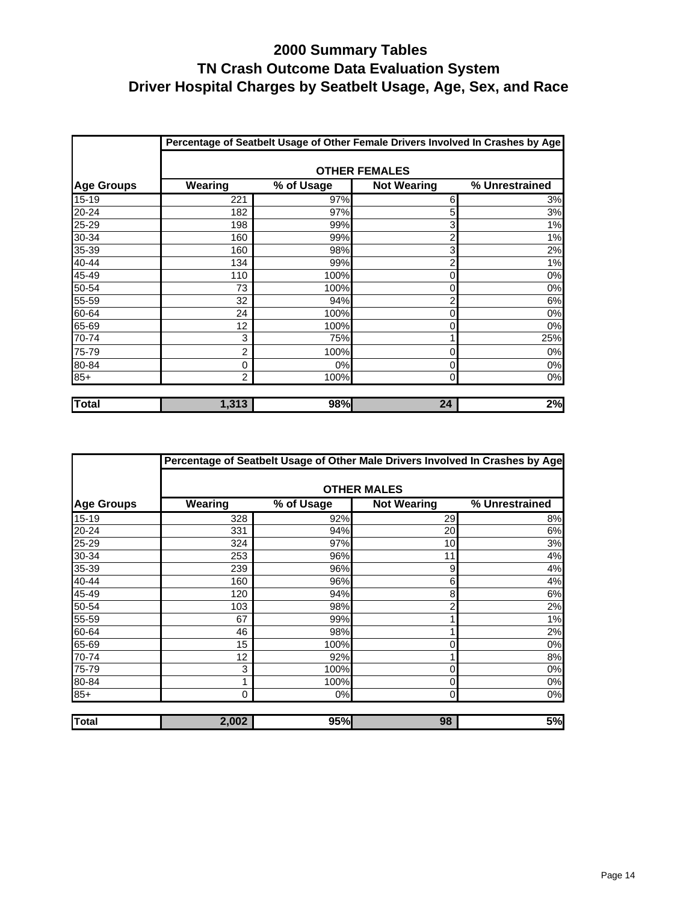|                   | Percentage of Seatbelt Usage of Other Female Drivers Involved In Crashes by Age |            |                      |                |  |  |  |  |  |  |
|-------------------|---------------------------------------------------------------------------------|------------|----------------------|----------------|--|--|--|--|--|--|
|                   |                                                                                 |            | <b>OTHER FEMALES</b> |                |  |  |  |  |  |  |
| <b>Age Groups</b> | Wearing                                                                         | % of Usage | <b>Not Wearing</b>   | % Unrestrained |  |  |  |  |  |  |
| $15 - 19$         | 221                                                                             | 97%        | 6                    | 3%             |  |  |  |  |  |  |
| 20-24             | 182                                                                             | 97%        | 5                    | 3%             |  |  |  |  |  |  |
| 25-29             | 198                                                                             | 99%        | 3                    | 1%             |  |  |  |  |  |  |
| 30-34             | 160                                                                             | 99%        | 2                    | 1%             |  |  |  |  |  |  |
| 35-39             | 160                                                                             | 98%        | 3                    | 2%             |  |  |  |  |  |  |
| 40-44             | 134                                                                             | 99%        | 2                    | 1%             |  |  |  |  |  |  |
| 45-49             | 110                                                                             | 100%       | 0                    | 0%             |  |  |  |  |  |  |
| 50-54             | 73                                                                              | 100%       | 0                    | 0%             |  |  |  |  |  |  |
| 55-59             | 32                                                                              | 94%        | $\overline{2}$       | 6%             |  |  |  |  |  |  |
| 60-64             | 24                                                                              | 100%       | 0                    | 0%             |  |  |  |  |  |  |
| 65-69             | 12                                                                              | 100%       | 0                    | 0%             |  |  |  |  |  |  |
| 70-74             | 3                                                                               | 75%        |                      | 25%            |  |  |  |  |  |  |
| 75-79             | 2                                                                               | 100%       | 0                    | 0%             |  |  |  |  |  |  |
| 80-84             | 0                                                                               | $0\%$      | 0                    | 0%             |  |  |  |  |  |  |
| $85+$             | $\overline{2}$                                                                  | 100%       | 0                    | $0\%$          |  |  |  |  |  |  |
| <b>Total</b>      | 1,313                                                                           | 98%        | 24                   | 2%             |  |  |  |  |  |  |

|                   | Percentage of Seatbelt Usage of Other Male Drivers Involved In Crashes by Age |            |                    |                |  |  |  |  |  |  |  |
|-------------------|-------------------------------------------------------------------------------|------------|--------------------|----------------|--|--|--|--|--|--|--|
|                   |                                                                               |            | <b>OTHER MALES</b> |                |  |  |  |  |  |  |  |
| <b>Age Groups</b> | Wearing                                                                       | % of Usage | <b>Not Wearing</b> | % Unrestrained |  |  |  |  |  |  |  |
| $15 - 19$         | 328                                                                           | 92%        | 29                 | 8%             |  |  |  |  |  |  |  |
| 20-24             | 331                                                                           | 94%        | 20                 | 6%             |  |  |  |  |  |  |  |
| 25-29             | 324                                                                           | 97%        | 10                 | 3%             |  |  |  |  |  |  |  |
| 30-34             | 253                                                                           | 96%        | 11                 | 4%             |  |  |  |  |  |  |  |
| 35-39             | 239                                                                           | 96%        | 9                  | 4%             |  |  |  |  |  |  |  |
| 40-44             | 160                                                                           | 96%        | 6                  | 4%             |  |  |  |  |  |  |  |
| 45-49             | 120                                                                           | 94%        | 8                  | 6%             |  |  |  |  |  |  |  |
| 50-54             | 103                                                                           | 98%        | 2                  | 2%             |  |  |  |  |  |  |  |
| 55-59             | 67                                                                            | 99%        |                    | 1%             |  |  |  |  |  |  |  |
| 60-64             | 46                                                                            | 98%        |                    | 2%             |  |  |  |  |  |  |  |
| 65-69             | 15                                                                            | 100%       | 0                  | 0%             |  |  |  |  |  |  |  |
| 70-74             | 12                                                                            | 92%        |                    | 8%             |  |  |  |  |  |  |  |
| 75-79             | 3                                                                             | 100%       | 0                  | 0%             |  |  |  |  |  |  |  |
| 80-84             | 1                                                                             | 100%       | 0                  | 0%             |  |  |  |  |  |  |  |
| $85+$             | 0                                                                             | 0%         | $\Omega$           | $0\%$          |  |  |  |  |  |  |  |
| <b>Total</b>      | 2,002                                                                         | <b>95%</b> | 98                 | 5%             |  |  |  |  |  |  |  |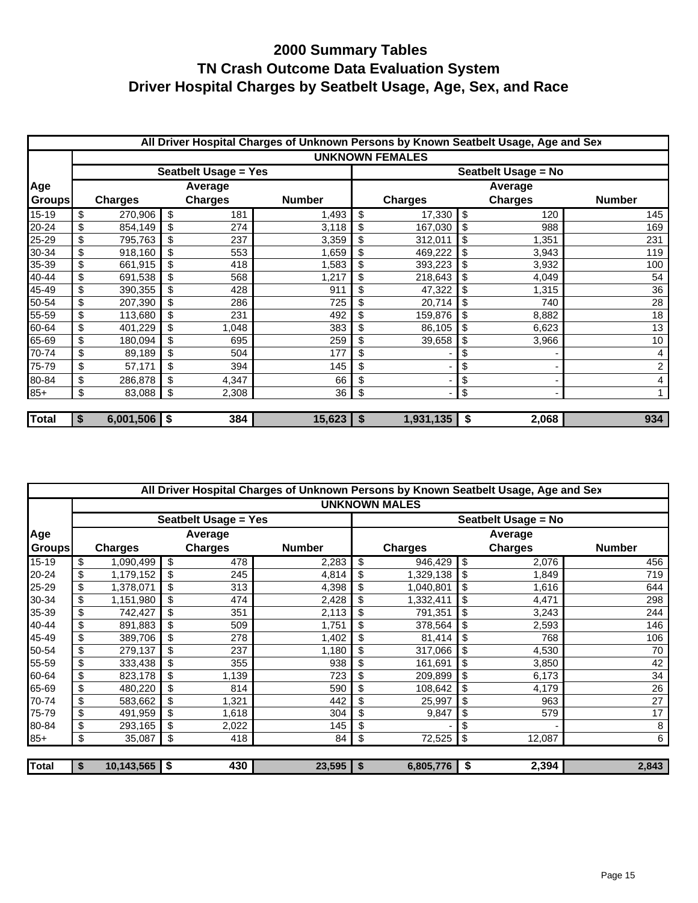|               | All Driver Hospital Charges of Unknown Persons by Known Seatbelt Usage, Age and Sex |           |      |                             |        |                     |                        |    |                |               |  |
|---------------|-------------------------------------------------------------------------------------|-----------|------|-----------------------------|--------|---------------------|------------------------|----|----------------|---------------|--|
|               |                                                                                     |           |      |                             |        |                     | <b>UNKNOWN FEMALES</b> |    |                |               |  |
|               |                                                                                     |           |      | <b>Seatbelt Usage = Yes</b> |        | Seatbelt Usage = No |                        |    |                |               |  |
| Age           |                                                                                     |           |      | Average                     |        | Average             |                        |    |                |               |  |
| <b>Groups</b> | <b>Charges</b><br><b>Charges</b><br><b>Number</b>                                   |           |      |                             |        |                     | <b>Charges</b>         |    | <b>Charges</b> | <b>Number</b> |  |
| 15-19         | \$                                                                                  | 270,906   | \$   | 181                         | 1,493  | \$                  | 17,330                 | \$ | 120            | 145           |  |
| 20-24         | \$                                                                                  | 854,149   | \$   | 274                         | 3,118  | \$                  | 167,030                | \$ | 988            | 169           |  |
| 25-29         | \$                                                                                  | 795,763   | \$   | 237                         | 3,359  | \$                  | 312,011                | \$ | 1,351          | 231           |  |
| 30-34         | \$                                                                                  | 918,160   | \$   | 553                         | 1,659  | \$                  | 469,222                | \$ | 3,943          | 119           |  |
| 35-39         | \$                                                                                  | 661,915   | \$   | 418                         | 1,583  | \$                  | 393,223                | \$ | 3,932          | 100           |  |
| 40-44         | \$                                                                                  | 691,538   | \$   | 568                         | 1,217  | \$                  | 218,643                | \$ | 4,049          | 54            |  |
| 45-49         | \$                                                                                  | 390,355   | \$   | 428                         | 911    | \$                  | 47,322                 | \$ | 1,315          | 36            |  |
| 50-54         | \$                                                                                  | 207,390   | \$   | 286                         | 725    | \$                  | 20,714                 | \$ | 740            | 28            |  |
| 55-59         | \$                                                                                  | 113,680   | \$   | 231                         | 492    | \$                  | 159,876                | \$ | 8,882          | 18            |  |
| 60-64         | \$                                                                                  | 401,229   | \$   | 1,048                       | 383    | \$                  | 86,105                 | \$ | 6,623          | 13            |  |
| 65-69         | \$                                                                                  | 180,094   | \$   | 695                         | 259    | \$                  | 39,658                 | \$ | 3,966          | 10            |  |
| 70-74         | \$                                                                                  | 89,189    | \$   | 504                         | 177    | \$                  |                        | \$ |                | 4             |  |
| 75-79         | \$                                                                                  | 57,171    | \$   | 394                         | 145    | \$                  |                        | \$ |                | $\sqrt{2}$    |  |
| 80-84         | \$                                                                                  | 286,878   | \$   | 4,347                       | 66     | \$                  |                        | \$ |                | 4             |  |
| $85+$         | \$                                                                                  | 83,088    | \$   | 2,308                       | 36     | \$                  |                        | \$ |                |               |  |
|               |                                                                                     |           |      |                             |        |                     |                        |    |                |               |  |
| <b>Total</b>  | \$                                                                                  | 6,001,506 | ا \$ | 384                         | 15,623 | -\$                 | 1,931,135              | \$ | 2,068          | 934           |  |

|               | All Driver Hospital Charges of Unknown Persons by Known Seatbelt Usage, Age and Sex |                 |    |                             |               |              |                      |    |                |               |  |  |
|---------------|-------------------------------------------------------------------------------------|-----------------|----|-----------------------------|---------------|--------------|----------------------|----|----------------|---------------|--|--|
|               |                                                                                     |                 |    |                             |               |              | <b>UNKNOWN MALES</b> |    |                |               |  |  |
|               |                                                                                     |                 |    | <b>Seatbelt Usage = Yes</b> |               |              | Seatbelt Usage = No  |    |                |               |  |  |
| <b>Age</b>    |                                                                                     |                 |    | Average                     |               |              | Average              |    |                |               |  |  |
| <b>Groups</b> | <b>Charges</b><br><b>Charges</b>                                                    |                 |    |                             | <b>Number</b> |              | <b>Charges</b>       |    | <b>Charges</b> | <b>Number</b> |  |  |
| $15 - 19$     | \$                                                                                  | 1,090,499       | \$ | 478                         | 2,283         | \$           | 946,429              | \$ | 2,076          | 456           |  |  |
| 20-24         | \$                                                                                  | 1,179,152       |    | 245                         | 4,814         |              | 1,329,138            | \$ | 1,849          | 719           |  |  |
| 25-29         | \$                                                                                  | 1,378,071       |    | 313                         | 4,398         |              | 1,040,801            | \$ | 1,616          | 644           |  |  |
| 30-34         | \$                                                                                  | 1,151,980       |    | 474                         | 2,428         |              | 1,332,411            | \$ | 4,471          | 298           |  |  |
| 35-39         | \$                                                                                  | 742,427         |    | 351                         | 2,113         | \$.          | 791,351              | \$ | 3,243          | 244           |  |  |
| 40-44         | \$                                                                                  | 891,883         |    | 509                         | 1,751         | \$           | 378,564              | \$ | 2,593          | 146           |  |  |
| 45-49         | \$                                                                                  | 389,706         |    | 278                         | 1,402         |              | 81,414               | \$ | 768            | 106           |  |  |
| 50-54         | \$                                                                                  | 279,137         |    | 237                         | 1,180         |              | 317,066              | \$ | 4,530          | 70            |  |  |
| 55-59         | \$                                                                                  | 333,438         |    | 355                         | 938           | \$           | 161,691              | \$ | 3,850          | 42            |  |  |
| 60-64         | \$                                                                                  | 823,178         |    | 1,139                       | 723           |              | 209,899              |    | 6,173          | 34            |  |  |
| 65-69         | \$                                                                                  | 480,220         |    | 814                         | 590           |              | 108,642              | \$ | 4,179          | 26            |  |  |
| 70-74         | \$                                                                                  | 583,662         |    | 1,321                       | 442           | \$           | 25,997               | \$ | 963            | 27            |  |  |
| 75-79         | \$                                                                                  | 491,959         |    | 1,618                       | 304           |              | 9,847                |    | 579            | 17            |  |  |
| 80-84         | \$                                                                                  | 293,165         |    | 2,022                       | 145           | \$           |                      |    |                | 8             |  |  |
| $85+$         | \$                                                                                  | 35,087          | \$ | 418                         | 84            | \$           | 72,525               | \$ | 12,087         | 6             |  |  |
|               |                                                                                     |                 |    |                             |               |              |                      |    |                |               |  |  |
| <b>Total</b>  | \$                                                                                  | $10,143,565$ \$ |    | 430                         | 23,595        | $\mathbf{s}$ | 6,805,776            | \$ | 2,394          | 2,843         |  |  |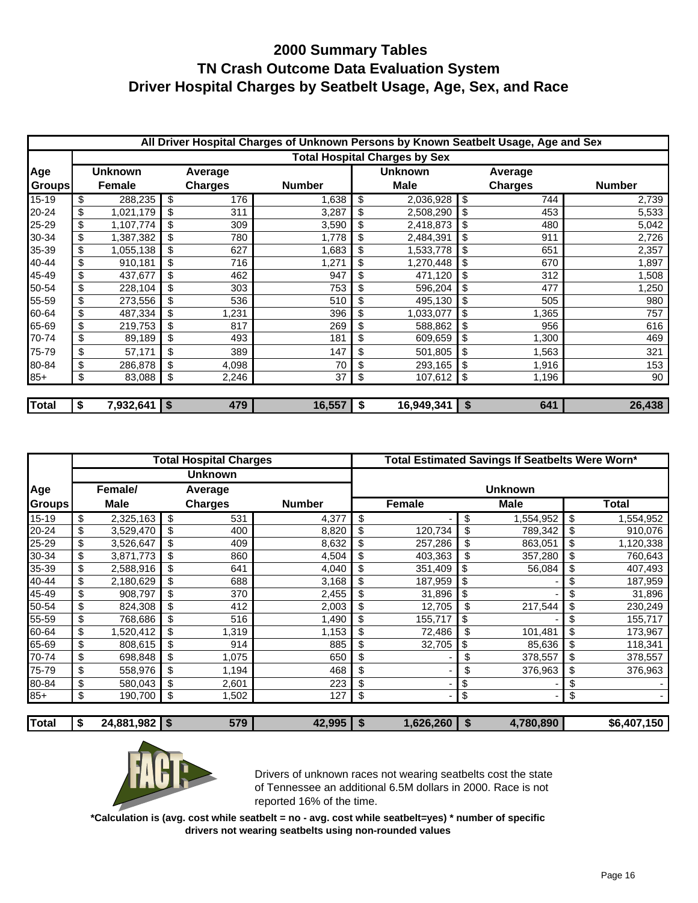|              | All Driver Hospital Charges of Unknown Persons by Known Seatbelt Usage, Age and Sex |                |    |                |               |                |             |          |                |               |
|--------------|-------------------------------------------------------------------------------------|----------------|----|----------------|---------------|----------------|-------------|----------|----------------|---------------|
|              | <b>Total Hospital Charges by Sex</b>                                                |                |    |                |               |                |             |          |                |               |
| Age          | Unknown                                                                             |                |    | Average        |               | <b>Unknown</b> |             | Average  |                |               |
| Groups       |                                                                                     | Female         |    | <b>Charges</b> | <b>Number</b> |                | <b>Male</b> |          | <b>Charges</b> | <b>Number</b> |
| 15-19        | \$                                                                                  | 288,235        | \$ | 176            | 1,638         | \$             | 2,036,928   | \$       | 744            | 2,739         |
| 20-24        | \$                                                                                  | 1,021,179      | \$ | 311            | 3,287         | \$             | 2,508,290   |          | 453            | 5,533         |
| 25-29        | \$                                                                                  | 1,107,774      | \$ | 309            | 3,590         | \$             | 2,418,873   | \$       | 480            | 5,042         |
| 30-34        | \$                                                                                  | 1,387,382      | \$ | 780            | 1,778         | \$             | 2,484,391   | \$       | 911            | 2,726         |
| 35-39        | \$                                                                                  | 1,055,138      | \$ | 627            | 1,683         | \$             | 1,533,778   | \$       | 651            | 2,357         |
| 40-44        | \$                                                                                  | 910,181        | \$ | 716            | 1,271         | \$             | 1,270,448   | \$       | 670            | 1,897         |
| 45-49        | \$                                                                                  | 437,677        | \$ | 462            | 947           | \$             | 471,120     | \$       | 312            | 1,508         |
| 50-54        | \$                                                                                  | 228,104        | \$ | 303            | 753           | \$             | 596,204     | \$       | 477            | 1,250         |
| 55-59        | \$                                                                                  | 273,556        | \$ | 536            | 510           | \$             | 495,130     | \$       | 505            | 980           |
| 60-64        | \$                                                                                  | 487,334        | \$ | 1,231          | 396           | \$             | 1,033,077   | \$       | 1,365          | 757           |
| 65-69        | \$                                                                                  | 219,753        | \$ | 817            | 269           | \$             | 588,862     | \$       | 956            | 616           |
| 70-74        | \$                                                                                  | 89,189         | \$ | 493            | 181           | \$             | 609,659     | \$       | 1,300          | 469           |
| 75-79        | \$                                                                                  | 57,171         | \$ | 389            | 147           | \$             | 501,805     | \$       | 1,563          | 321           |
| 80-84        | \$                                                                                  | 286,878        | \$ | 4,098          | 70            | \$             | 293,165     | \$       | 1,916          | 153           |
| $85+$        | \$                                                                                  | 83,088         | \$ | 2,246          | 37            | \$             | 107,612     | \$       | 1,196          | 90            |
|              |                                                                                     |                |    |                |               |                |             |          |                |               |
| <b>Total</b> | \$                                                                                  | 7,932,641   \$ |    | 479            | 16,557        | - \$           | 16,949,341  | <b>S</b> | 641            | 26,438        |

|               | <b>Total Hospital Charges</b> |               |    |                |                | Total Estimated Savings If Seatbelts Were Worn* |           |          |             |                       |             |
|---------------|-------------------------------|---------------|----|----------------|----------------|-------------------------------------------------|-----------|----------|-------------|-----------------------|-------------|
|               | Unknown                       |               |    |                |                |                                                 |           |          |             |                       |             |
| Age           | Female/<br>Average            |               |    |                | <b>Unknown</b> |                                                 |           |          |             |                       |             |
| <b>Groups</b> |                               | Male          |    | <b>Charges</b> | <b>Number</b>  |                                                 | Female    |          | <b>Male</b> |                       | Total       |
| 15-19         | \$                            | 2,325,163     | \$ | 531            | 4,377          | \$                                              |           | \$       | 1,554,952   | \$                    | 1,554,952   |
| 20-24         | \$                            | 3,529,470     | \$ | 400            | 8,820          | \$                                              | 120,734   | \$       | 789,342     | \$                    | 910,076     |
| 25-29         | \$                            | 3,526,647     | \$ | 409            | 8,632          | \$                                              | 257,286   | \$       | 863,051     | \$                    | 1,120,338   |
| 30-34         | \$                            | 3,871,773     | \$ | 860            | 4,504          | \$                                              | 403,363   | \$       | 357,280     | \$                    | 760,643     |
| 35-39         | \$                            | 2,588,916     |    | 641            | 4,040          | \$                                              | 351,409   | \$       | 56,084      | \$                    | 407,493     |
| 40-44         | \$                            | 2,180,629     |    | 688            | 3,168          | \$                                              | 187,959   | \$       |             |                       | 187,959     |
| 45-49         | \$                            | 908,797       | \$ | 370            | 2,455          | \$                                              | 31,896    | \$       |             | \$                    | 31,896      |
| 50-54         | \$                            | 824,308       |    | 412            | 2,003          | \$                                              | 12,705    | \$       | 217,544     | \$                    | 230,249     |
| 55-59         | \$                            | 768,686       |    | 516            | 1,490          | \$                                              | 155,717   | \$       |             |                       | 155,717     |
| 60-64         | \$                            | 1,520,412     | \$ | 1,319          | 1,153          | \$                                              | 72,486    | \$       | 101,481     | \$                    | 173,967     |
| 65-69         | \$                            | 808,615       | \$ | 914            | 885            | \$                                              | 32,705    | \$       | 85,636      | \$                    | 118,341     |
| 70-74         | \$                            | 698,848       | \$ | 1,075          | 650            | \$                                              |           | \$       | 378,557     | \$                    | 378,557     |
| 75-79         | \$                            | 558,976       | \$ | 1,194          | 468            | \$                                              |           | \$       | 376,963     | \$                    | 376,963     |
| 80-84         | \$                            | 580,043       | \$ | 2,601          | 223            | \$                                              |           | \$       |             | \$                    |             |
| $85+$         | \$                            | 190,700       | \$ | 1,502          | 127            | \$                                              |           | \$       |             | $\boldsymbol{\theta}$ |             |
|               |                               |               |    |                |                |                                                 |           |          |             |                       |             |
| <b>Total</b>  | \$                            | 24,881,982 \$ |    | 579            | 42,995         | -\$                                             | 1,626,260 | <b>S</b> | 4,780,890   |                       | \$6,407,150 |



Drivers of unknown races not wearing seatbelts cost the state of Tennessee an additional 6.5M dollars in 2000. Race is not reported 16% of the time.